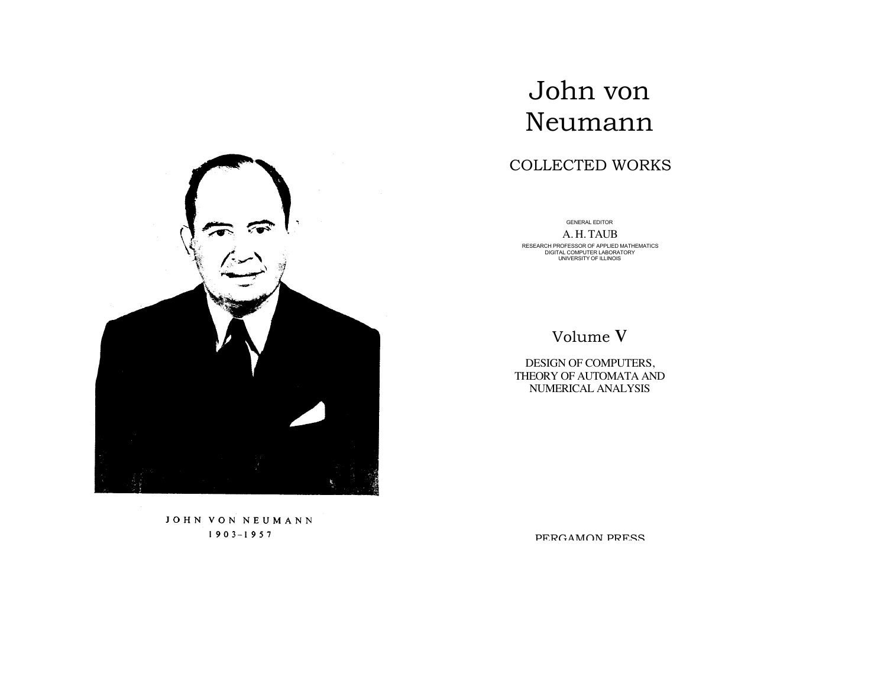# $\mathbb{Z}$

John von Neumann

# COLLECTED WORKS

GENERAL EDITOR A. H. TAUB RESEARCH PROFESSOR OF APPLIED MATHEMATICS<br>DIGITAL COMPUTER LABORATORY<br>UNIVERSITY OF ILLINOIS

# Volume v

DESIGN OF COMPUTERS, THEORY OF AUTOMATA AND NUMERICAL ANALYSIS

JOHN VON NEUMANN  $1903 - 1957$ 

PERGAMON PRESS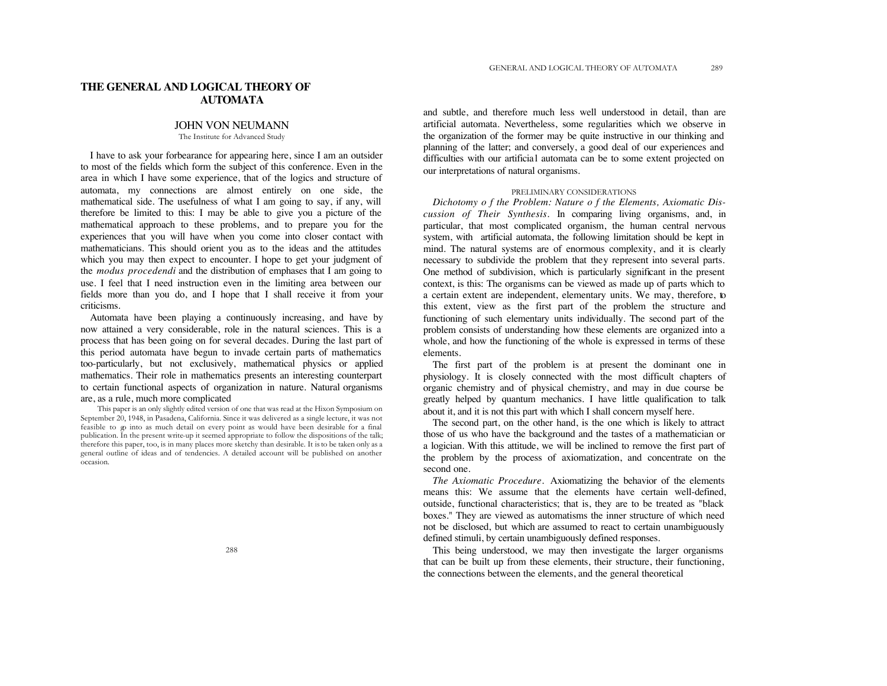# **THE GENERAL AND LOGICAL THEORY OF AUTOMATA**

# JOHN VON NEUMANN The Institute for Advanced Study

I have to ask your forbearance for appearing here, since I am an outsider to most of the fields which form the subject of this conference. Even in the area in which I have some experience, that of the logics and structure of automata, my connections are almost entirely on one side, the mathematical side. The usefulness of what I am going to say, if any, will therefore be limited to this: I may be able to give you a picture of the mathematical approach to these problems, and to prepare you for the experiences that you will have when you come into closer contact with mathematicians. This should orient you as to the ideas and the attitudes which you may then expect to encounter. I hope to get your judgment of the *modus procedendi* and the distribution of emphases that I am going to use. I feel that I need instruction even in the limiting area between our fields more than you do, and I hope that I shall receive it from your criticisms.

Automata have been playing a continuously increasing, and have by now attained a very considerable, role in the natural sciences. This is a process that has been going on for several decades. During the last part of this period automata have begun to invade certain parts of mathematics too-particularly, but not exclusively, mathematical physics or applied mathematics. Their role in mathematics presents an interesting counterpart to certain functional aspects of organization in nature. Natural organisms are, as a rule, much more complicated

This paper is an only slightly edited version of one that was read at the Hixon Symposium on September 20, 1948, in Pasadena, California. Since it was delivered as a single lecture, it was not feasible to go into as much detail on every point as would have been desirable for a final publication. In the present write-up it seemed appropriate to follow the dispositions of the talk; therefore this paper, too, is in many places more sketchy than desirable. It is to be taken only as a general outline of ideas and of tendencies. A detailed account will be published on another occasion.

and subtle, and therefore much less well understood in detail, than are artificial automata. Nevertheless, some regularities which we observe in the organization of the former may be quite instructive in our thinking and planning of the latter; and conversely, a good deal of our experiences and difficulties with our artificial automata can be to some extent projected on our interpretations of natural organisms.

# PRELIMINARY CONSIDERATIONS

*Dichotomy o f the Problem: Nature o f the Elements, Axiomatic Discussion of Their Synthesis.* In comparing living organisms, and, in particular, that most complicated organism, the human central nervous system, with artificial automata, the following limitation should be kept in mind. The natural systems are of enormous complexity, and it is clearly necessary to subdivide the problem that they represent into several parts. One method of subdivision, which is particularly significant in the present context, is this: The organisms can be viewed as made up of parts which to a certain extent are independent, elementary units. We may, therefore, to this extent, view as the first part of the problem the structure and functioning of such elementary units individually. The second part of the problem consists of understanding how these elements are organized into a whole, and how the functioning of the whole is expressed in terms of these elements.

The first part of the problem is at present the dominant one in physiology. It is closely connected with the most difficult chapters of organic chemistry and of physical chemistry, and may in due course be greatly helped by quantum mechanics. I have little qualification to talk about it, and it is not this part with which I shall concern myself here.

The second part, on the other hand, is the one which is likely to attract those of us who have the background and the tastes of a mathematician or a logician. With this attitude, we will be inclined to remove the first part of the problem by the process of axiomatization, and concentrate on the second one.

*The Axiomatic Procedure.* Axiomatizing the behavior of the elements means this: We assume that the elements have certain well-defined, outside, functional characteristics; that is, they are to be treated as "black boxes." They are viewed as automatisms the inner structure of which need not be disclosed, but which are assumed to react to certain unambiguously defined stimuli, by certain unambiguously defined responses.

This being understood, we may then investigate the larger organisms that can be built up from these elements, their structure, their functioning, the connections between the elements, and the general theoretical

288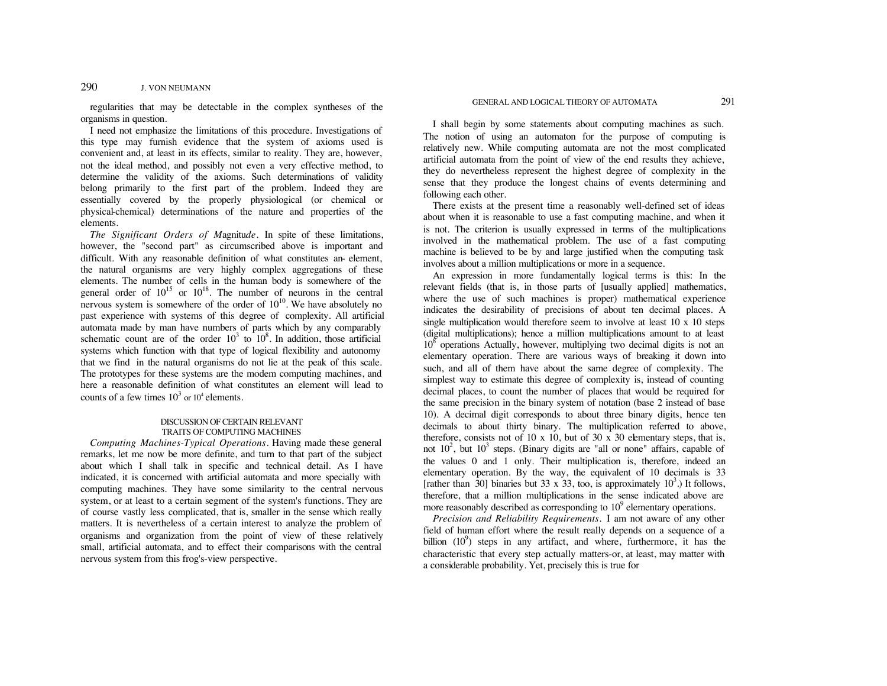regularities that may be detectable in the complex syntheses of the organisms in question.

I need not emphasize the limitations of this procedure. Investigations of this type may furnish evidence that the system of axioms used is convenient and, at least in its effects, similar to reality. They are, however, not the ideal method, and possibly not even a very effective method, to determine the validity of the axioms. Such determinations of validity belong primarily to the first part of the problem. Indeed they are essentially covered by the properly physiological (or chemical or physical-chemical) determinations of the nature and properties of the elements.

*The Significant Orders of M*agnitu*de.* In spite of these limitations, however, the "second part" as circumscribed above is important and difficult. With any reasonable definition of what constitutes an- element, the natural organisms are very highly complex aggregations of these elements. The number of cells in the human body is somewhere of the general order of  $10^{15}$  or  $10^{18}$ . The number of neurons in the central nervous system is somewhere of the order of  $10^{10}$ . We have absolutely no past experience with systems of this degree of complexity. All artificial automata made by man have numbers of parts which by any comparably schematic count are of the order  $10^3$  to  $10^8$ . In addition, those artificial systems which function with that type of logical flexibility and autonomy that we find in the natural organisms do not lie at the peak of this scale. The prototypes for these systems are the modem computing machines, and here a reasonable definition of what constitutes an element will lead to counts of a few times  $10^3$  or  $10^4$  elements.

# DISCUSSION OF CERTAIN RELEVANT TRAITS OF COMPUTING MACHINES

*Computing Machines-Typical Operations.* Having made these general remarks, let me now be more definite, and turn to that part of the subject about which I shall talk in specific and technical detail. As I have indicated, it is concerned with artificial automata and more specially with computing machines. They have some similarity to the central nervous system, or at least to a certain segment of the system's functions. They are of course vastly less complicated, that is, smaller in the sense which really matters. It is nevertheless of a certain interest to analyze the problem of organisms and organization from the point of view of these relatively small, artificial automata, and to effect their comparisons with the central nervous system from this frog's-view perspective.

I shall begin by some statements about computing machines as such. The notion of using an automaton for the purpose of computing is relatively new. While computing automata are not the most complicated artificial automata from the point of view of the end results they achieve, they do nevertheless represent the highest degree of complexity in the sense that they produce the longest chains of events determining and following each other.

There exists at the present time a reasonably well-defined set of ideas about when it is reasonable to use a fast computing machine, and when it is not. The criterion is usually expressed in terms of the multiplications involved in the mathematical problem. The use of a fast computing machine is believed to be by and large justified when the computing task involves about a million multiplications or more in a sequence.

An expression in more fundamentally logical terms is this: In the relevant fields (that is, in those parts of [usually applied] mathematics, where the use of such machines is proper) mathematical experience indicates the desirability of precisions of about ten decimal places. A single multiplication would therefore seem to involve at least 10 x 10 steps (digital multiplications); hence a million multiplications amount to at least  $10<sup>8</sup>$  operations Actually, however, multiplying two decimal digits is not an elementary operation. There are various ways of breaking it down into such, and all of them have about the same degree of complexity. The simplest way to estimate this degree of complexity is, instead of counting decimal places, to count the number of places that would be required for the same precision in the binary system of notation (base 2 instead of base 10). A decimal digit corresponds to about three binary digits, hence ten decimals to about thirty binary. The multiplication referred to above, therefore, consists not of 10 x 10, but of 30 x 30 elementary steps, that is, not  $10^2$ , but  $10^3$  steps. (Binary digits are "all or none" affairs, capable of the values 0 and 1 only. Their multiplication is, therefore, indeed an elementary operation. By the way, the equivalent of 10 decimals is 33 [rather than  $30$ ] binaries but 33 x 33, too, is approximately  $10^3$ .) It follows, therefore, that a million multiplications in the sense indicated above are more reasonably described as corresponding to  $10^9$  elementary operations.

*Precision and Reliability Requirements.* I am not aware of any other field of human effort where the result really depends on a sequence of a billion  $(10^9)$  steps in any artifact, and where, furthermore, it has the characteristic that every step actually matters-or, at least, may matter with a considerable probability. Yet, precisely this is true for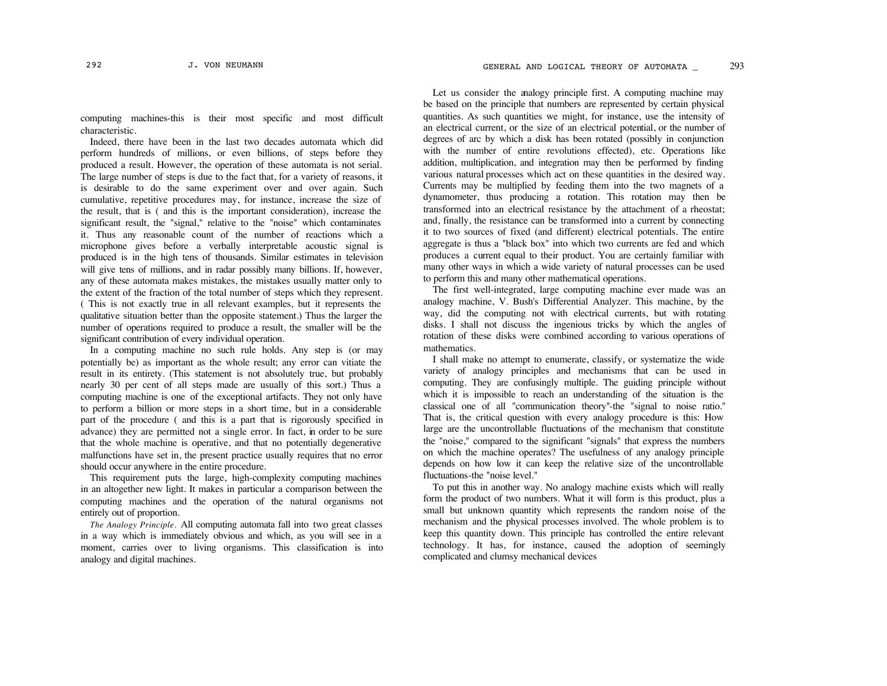computing machines-this is their most specific and most difficult characteristic.

Indeed, there have been in the last two decades automata which did perform hundreds of millions, or even billions, of steps before they produced a result. However, the operation of these automata is not serial. The large number of steps is due to the fact that, for a variety of reasons, it is desirable to do the same experiment over and over again. Such cumulative, repetitive procedures may, for instance, increase the size of the result, that is ( and this is the important consideration), increase the significant result, the "signal," relative to the "noise" which contaminates it. Thus any reasonable count of the number of reactions which a microphone gives before a verbally interpretable acoustic signal is produced is in the high tens of thousands. Similar estimates in television will give tens of millions, and in radar possibly many billions. If, however, any of these automata makes mistakes, the mistakes usually matter only to the extent of the fraction of the total number of steps which they represent. ( This is not exactly true in all relevant examples, but it represents the qualitative situation better than the opposite statement.) Thus the larger the number of operations required to produce a result, the smaller will be the significant contribution of every individual operation.

In a computing machine no such rule holds. Any step is (or may potentially be) as important as the whole result; any error can vitiate the result in its entirety. (This statement is not absolutely true, but probably nearly 30 per cent of all steps made are usually of this sort.) Thus a computing machine is one of the exceptional artifacts. They not only have to perform a billion or more steps in a short time, but in a considerable part of the procedure ( and this is a part that is rigorously specified in advance) they are permitted not a single error. In fact, in order to be sure that the whole machine is operative, and that no potentially degenerative malfunctions have set in, the present practice usually requires that no error should occur anywhere in the entire procedure.

This requirement puts the large, high-complexity computing machines in an altogether new light. It makes in particular a comparison between the computing machines and the operation of the natural organisms not entirely out of proportion.

*The Analogy Principle.* All computing automata fall into two great classes in a way which is immediately obvious and which, as you will see in a moment, carries over to living organisms. This classification is into analogy and digital machines.

Let us consider the analogy principle first. A computing machine may be based on the principle that numbers are represented by certain physical quantities. As such quantities we might, for instance, use the intensity of an electrical current, or the size of an electrical potential, or the number of degrees of arc by which a disk has been rotated (possibly in conjunction with the number of entire revolutions effected), etc. Operations like addition, multiplication, and integration may then be performed by finding various natural processes which act on these quantities in the desired way. Currents may be multiplied by feeding them into the two magnets of a dynamometer, thus producing a rotation. This rotation may then be transformed into an electrical resistance by the attachment of a rheostat; and, finally, the resistance can be transformed into a current by connecting it to two sources of fixed (and different) electrical potentials. The entire aggregate is thus a "black box" into which two currents are fed and which produces a current equal to their product. You are certainly familiar with many other ways in which a wide variety of natural processes can be used to perform this and many other mathematical operations.

The first well-integrated, large computing machine ever made was an analogy machine, V. Bush's Differential Analyzer. This machine, by the way, did the computing not with electrical currents, but with rotating disks. I shall not discuss the ingenious tricks by which the angles of rotation of these disks were combined according to various operations of mathematics.

I shall make no attempt to enumerate, classify, or systematize the wide variety of analogy principles and mechanisms that can be used in computing. They are confusingly multiple. The guiding principle without which it is impossible to reach an understanding of the situation is the classical one of all "communication theory"-the "signal to noise ratio." That is, the critical question with every analogy procedure is this: How large are the uncontrollable fluctuations of the mechanism that constitute the "noise," compared to the significant "signals" that express the numbers on which the machine operates? The usefulness of any analogy principle depends on how low it can keep the relative size of the uncontrollable fluctuations-the "noise level."

To put this in another way. No analogy machine exists which will really form the product of two numbers. What it will form is this product, plus a small but unknown quantity which represents the random noise of the mechanism and the physical processes involved. The whole problem is to keep this quantity down. This principle has controlled the entire relevant technology. It has, for instance, caused the adoption of seemingly complicated and clumsy mechanical devices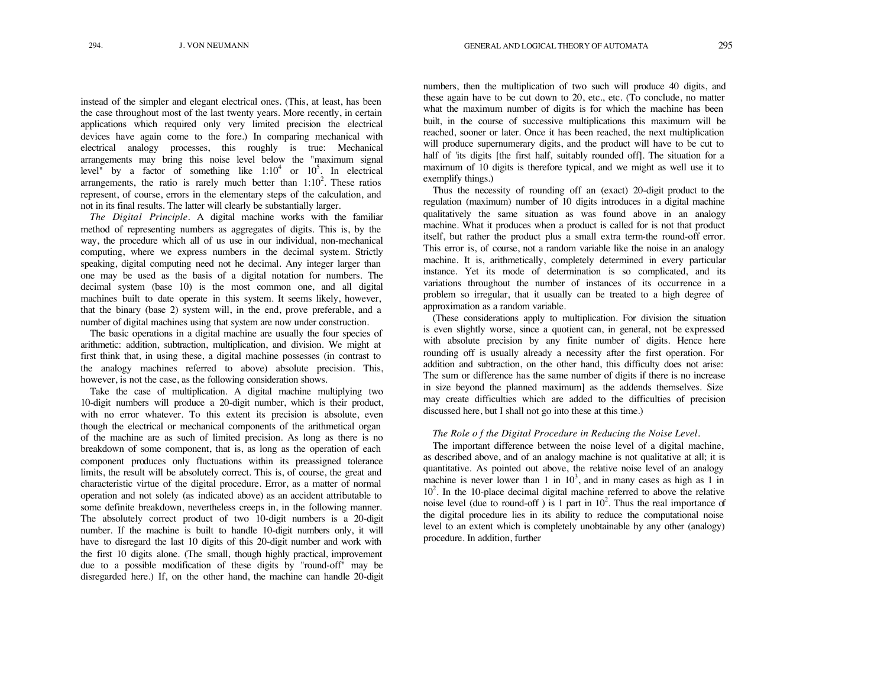instead of the simpler and elegant electrical ones. (This, at least, has been the case throughout most of the last twenty years. More recently, in certain applications which required only very limited precision the electrical devices have again come to the fore.) In comparing mechanical with electrical analogy processes, this roughly is true: Mechanical arrangements may bring this noise level below the "maximum signal level" by a factor of something like  $1:10^4$  or  $10^5$ . In electrical arrangements, the ratio is rarely much better than  $1:10^2$ . These ratios represent, of course, errors in the elementary steps of the calculation, and not in its final results. The latter will clearly be substantially larger.

*The Digital Principle.* A digital machine works with the familiar method of representing numbers as aggregates of digits. This is, by the way, the procedure which all of us use in our individual, non-mechanical computing, where we express numbers in the decimal system. Strictly speaking, digital computing need not he decimal. Any integer larger than one may be used as the basis of a digital notation for numbers. The decimal system (base 10) is the most common one, and all digital machines built to date operate in this system. It seems likely, however, that the binary (base 2) system will, in the end, prove preferable, and a number of digital machines using that system are now under construction.

The basic operations in a digital machine are usually the four species of arithmetic: addition, subtraction, multiplication, and division. We might at first think that, in using these, a digital machine possesses (in contrast to the analogy machines referred to above) absolute precision. This, however, is not the case, as the following consideration shows.

Take the case of multiplication. A digital machine multiplying two 10-digit numbers will produce a 20-digit number, which is their product, with no error whatever. To this extent its precision is absolute, even though the electrical or mechanical components of the arithmetical organ of the machine are as such of limited precision. As long as there is no breakdown of some component, that is, as long as the operation of each component produces only fluctuations within its preassigned tolerance limits, the result will be absolutely correct. This is, of course, the great and characteristic virtue of the digital procedure. Error, as a matter of normal operation and not solely (as indicated above) as an accident attributable to some definite breakdown, nevertheless creeps in, in the following manner. The absolutely correct product of two 10-digit numbers is a 20-digit number. If the machine is built to handle 10-digit numbers only, it will have to disregard the last 10 digits of this 20-digit number and work with the first 10 digits alone. (The small, though highly practical, improvement due to a possible modification of these digits by "round-off" may be disregarded here.) If, on the other hand, the machine can handle 20-digit numbers, then the multiplication of two such will produce 40 digits, and these again have to be cut down to 20, etc., etc. (To conclude, no matter what the maximum number of digits is for which the machine has been built, in the course of successive multiplications this maximum will be reached, sooner or later. Once it has been reached, the next multiplication will produce supernumerary digits, and the product will have to be cut to half of 'its digits [the first half, suitably rounded off]. The situation for a maximum of 10 digits is therefore typical, and we might as well use it to exemplify things.)

Thus the necessity of rounding off an (exact) 20-digit product to the regulation (maximum) number of 10 digits introduces in a digital machine qualitatively the same situation as was found above in an analogy machine. What it produces when a product is called for is not that product itself, but rather the product plus a small extra term-the round-off error. This error is, of course, not a random variable like the noise in an analogy machine. It is, arithmetically, completely determined in every particular instance. Yet its mode of determination is so complicated, and its variations throughout the number of instances of its occurrence in a problem so irregular, that it usually can be treated to a high degree of approximation as a random variable.

(These considerations apply to multiplication. For division the situation is even slightly worse, since a quotient can, in general, not be expressed with absolute precision by any finite number of digits. Hence here rounding off is usually already a necessity after the first operation. For addition and subtraction, on the other hand, this difficulty does not arise: The sum or difference has the same number of digits if there is no increase in size beyond the planned maximum] as the addends themselves. Size may create difficulties which are added to the difficulties of precision discussed here, but I shall not go into these at this time.)

# *The Role o f the Digital Procedure in Reducing the Noise Level.*

The important difference between the noise level of a digital machine, as described above, and of an analogy machine is not qualitative at all; it is quantitative. As pointed out above, the relative noise level of an analogy machine is never lower than 1 in  $10^3$ , and in many cases as high as 1 in  $10<sup>2</sup>$ . In the 10-place decimal digital machine referred to above the relative noise level (due to round-off) is 1 part in  $10^2$ . Thus the real importance of the digital procedure lies in its ability to reduce the computational noise level to an extent which is completely unobtainable by any other (analogy) procedure. In addition, further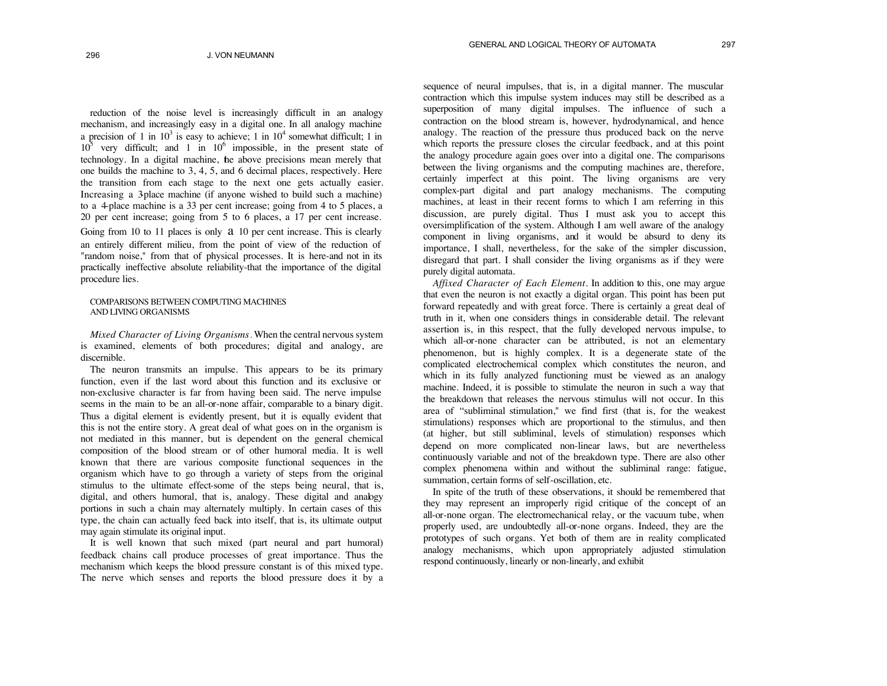reduction of the noise level is increasingly difficult in an analogy mechanism, and increasingly easy in a digital one. In all analogy machine a precision of 1 in  $10^3$  is easy to achieve; 1 in  $10^4$  somewhat difficult; 1 in  $10^5$  very difficult; and 1 in  $10^6$  impossible, in the present state of technology. In a digital machine, the above precisions mean merely that one builds the machine to 3, 4, 5, and 6 decimal places, respectively. Here the transition from each stage to the next one gets actually easier. Increasing a 3-place machine (if anyone wished to build such a machine) to a 4-place machine is a 33 per cent increase; going from 4 to 5 places, a 20 per cent increase; going from 5 to 6 places, a 17 per cent increase. Going from 10 to 11 places is only a 10 per cent increase. This is clearly an entirely different milieu, from the point of view of the reduction of "random noise," from that of physical processes. It is here-and not in its practically ineffective absolute reliability-that the importance of the digital procedure lies.

# COMPARISONS BETWEEN COMPUTING MACHINES AND LIVING ORGANISMS

*Mixed Character of Living Organisms.* When the central nervous system is examined, elements of both procedures; digital and analogy, are discernible.

The neuron transmits an impulse. This appears to be its primary function, even if the last word about this function and its exclusive or non-exclusive character is far from having been said. The nerve impulse seems in the main to be an all-or-none affair, comparable to a binary digit. Thus a digital element is evidently present, but it is equally evident that this is not the entire story. A great deal of what goes on in the organism is not mediated in this manner, but is dependent on the general chemical composition of the blood stream or of other humoral media. It is well known that there are various composite functional sequences in the organism which have to go through a variety of steps from the original stimulus to the ultimate effect-some of the steps being neural, that is, digital, and others humoral, that is, analogy. These digital and analogy portions in such a chain may alternately multiply. In certain cases of this type, the chain can actually feed back into itself, that is, its ultimate output may again stimulate its original input.

It is well known that such mixed (part neural and part humoral) feedback chains call produce processes of great importance. Thus the mechanism which keeps the blood pressure constant is of this mixed type. The nerve which senses and reports the blood pressure does it by a sequence of neural impulses, that is, in a digital manner. The muscular contraction which this impulse system induces may still be described as a superposition of many digital impulses. The influence of such a contraction on the blood stream is, however, hydrodynamical, and hence analogy. The reaction of the pressure thus produced back on the nerve which reports the pressure closes the circular feedback, and at this point the analogy procedure again goes over into a digital one. The comparisons between the living organisms and the computing machines are, therefore, certainly imperfect at this point. The living organisms are very complex-part digital and part analogy mechanisms. The computing machines, at least in their recent forms to which I am referring in this discussion, are purely digital. Thus I must ask you to accept this oversimplification of the system. Although I am well aware of the analogy component in living organisms, and it would be absurd to deny its importance, I shall, nevertheless, for the sake of the simpler discussion, disregard that part. I shall consider the living organisms as if they were purely digital automata.

*Affixed Character of Each Element.* In addition to this, one may argue that even the neuron is not exactly a digital organ. This point has been put forward repeatedly and with great force. There is certainly a great deal of truth in it, when one considers things in considerable detail. The relevant assertion is, in this respect, that the fully developed nervous impulse, to which all-or-none character can be attributed, is not an elementary phenomenon, but is highly complex. It is a degenerate state of the complicated electrochemical complex which constitutes the neuron, and which in its fully analyzed functioning must be viewed as an analogy machine. Indeed, it is possible to stimulate the neuron in such a way that the breakdown that releases the nervous stimulus will not occur. In this area of "subliminal stimulation," we find first (that is, for the weakest stimulations) responses which are proportional to the stimulus, and then (at higher, but still subliminal, levels of stimulation) responses which depend on more complicated non-linear laws, but are nevertheless continuously variable and not of the breakdown type. There are also other complex phenomena within and without the subliminal range: fatigue, summation, certain forms of self-oscillation, etc.

In spite of the truth of these observations, it should be remembered that they may represent an improperly rigid critique of the concept of an all-or-none organ. The electromechanical relay, or the vacuum tube, when properly used, are undoubtedly all-or-none organs. Indeed, they are the prototypes of such organs. Yet both of them are in reality complicated analogy mechanisms, which upon appropriately adjusted stimulation respond continuously, linearly or non-linearly, and exhibit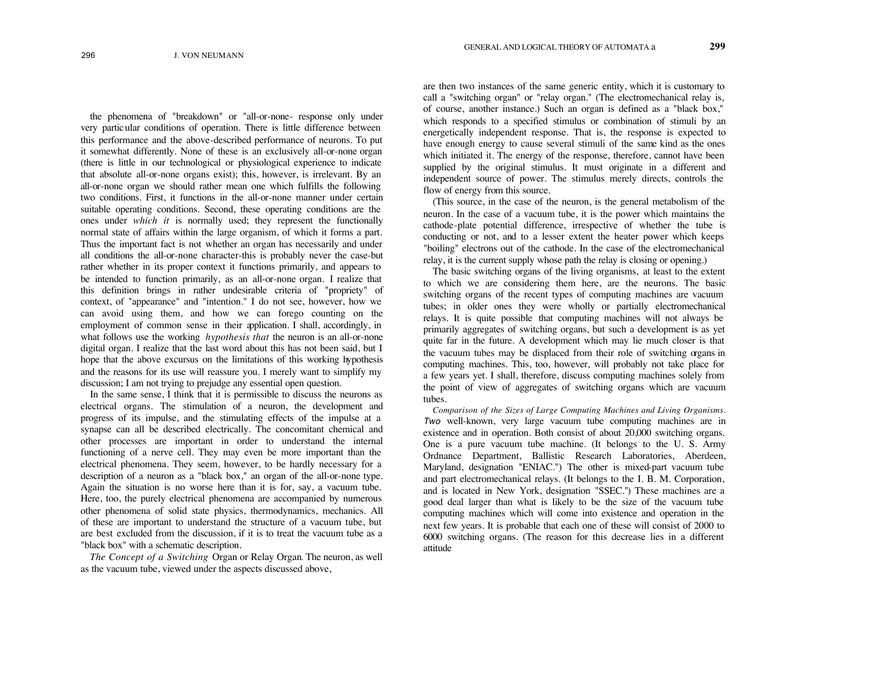the phenomena of "breakdown" or "all-or-none- response only under very particular conditions of operation. There is little difference between this performance and the above-described performance of neurons. To put it somewhat differently. None of these is an exclusively all-or-none organ (there is little in our technological or physiological experience to indicate that absolute all-or-none organs exist); this, however, is irrelevant. By an all-or-none organ we should rather mean one which fulfills the following two conditions. First, it functions in the all-or-none manner under certain suitable operating conditions. Second, these operating conditions are the ones under *which it* is normally used; they represent the functionally normal state of affairs within the large organism, of which it forms a part. Thus the important fact is not whether an organ has necessarily and under all conditions the all-or-none character-this is probably never the case-but rather whether in its proper context it functions primarily, and appears to be intended to function primarily, as an all-or-none organ. I realize that this definition brings in rather undesirable criteria of "propriety" of context, of "appearance" and "intention." I do not see, however, how we can avoid using them, and how we can forego counting on the employment of common sense in their application. I shall, accordingly, in what follows use the working *hypothesis that* the neuron is an all-or-none digital organ. I realize that the last word about this has not been said, but I hope that the above excursus on the limitations of this working hypothesis and the reasons for its use will reassure you. I merely want to simplify my discussion; I am not trying to prejudge any essential open question.

In the same sense, I think that it is permissible to discuss the neurons as electrical organs. The stimulation of a neuron, the development and progress of its impulse, and the stimulating effects of the impulse at a synapse can all be described electrically. The concomitant chemical and other processes are important in order to understand the internal functioning of a nerve cell. They may even be more important than the electrical phenomena. They seem, however, to be hardly necessary for a description of a neuron as a "black box," an organ of the all-or-none type. Again the situation is no worse here than it is for, say, a vacuum tube. Here, too, the purely electrical phenomena are accompanied by numerous other phenomena of solid state physics, thermodynamics, mechanics. All of these are important to understand the structure of a vacuum tube, but are best excluded from the discussion, if it is to treat the vacuum tube as a "black box" with a schematic description.

*The Concept of a Switching* Organ or Relay Organ. The neuron, as well as the vacuum tube, viewed under the aspects discussed above,

are then two instances of the same generic entity, which it is customary to call a "switching organ" or "relay organ." (The electromechanical relay is, of course, another instance.) Such an organ is defined as a "black box," which responds to a specified stimulus or combination of stimuli by an energetically independent response. That is, the response is expected to have enough energy to cause several stimuli of the same kind as the ones which initiated it. The energy of the response, therefore, cannot have been supplied by the original stimulus. It must originate in a different and independent source of power. The stimulus merely directs, controls the flow of energy from this source.

(This source, in the case of the neuron, is the general metabolism of the neuron. In the case of a vacuum tube, it is the power which maintains the cathode-plate potential difference, irrespective of whether the tube is conducting or not, and to a lesser extent the heater power which keeps "boiling" electrons out of the cathode. In the case of the electromechanical relay, it is the current supply whose path the relay is closing or opening.)

The basic switching organs of the living organisms, at least to the extent to which we are considering them here, are the neurons. The basic switching organs of the recent types of computing machines are vacuum tubes; in older ones they were wholly or partially electromechanical relays. It is quite possible that computing machines will not always be primarily aggregates of switching organs, but such a development is as yet quite far in the future. A development which may lie much closer is that the vacuum tubes may be displaced from their role of switching organs in computing machines. This, too, however, will probably not take place for a few years yet. I shall, therefore, discuss computing machines solely from the point of view of aggregates of switching organs which are vacuum tubes.

*Comparison of the Sizes of Large Computing Machines and Living Organisms. Two* well-known, very large vacuum tube computing machines are in existence and in operation. Both consist of about 20,000 switching organs. One is a pure vacuum tube machine. (It belongs to the U. S. Army Ordnance Department, Ballistic Research Laboratories, Aberdeen, Maryland, designation "ENIAC.") The other is mixed-part vacuum tube and part electromechanical relays. (It belongs to the I. B. M. Corporation, and is located in New York, designation "SSEC.") These machines are a good deal larger than what is likely to be the size of the vacuum tube computing machines which will come into existence and operation in the next few years. It is probable that each one of these will consist of 2000 to 6000 switching organs. (The reason for this decrease lies in a different attitude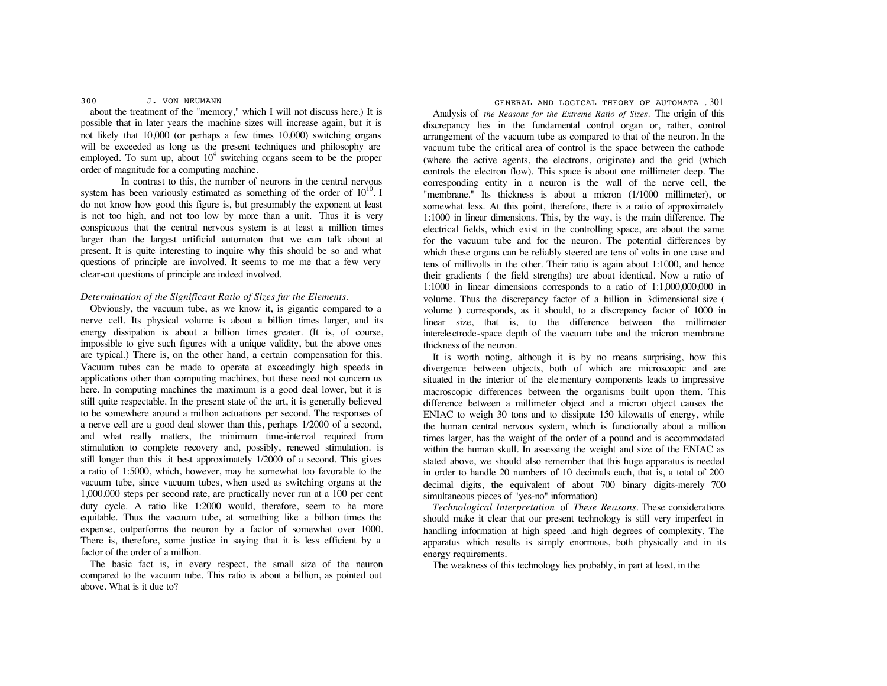about the treatment of the "memory," which I will not discuss here.) It is possible that in later years the machine sizes will increase again, but it is not likely that 10,000 (or perhaps a few times 10,000) switching organs will be exceeded as long as the present techniques and philosophy are employed. To sum up, about  $10^4$  switching organs seem to be the proper order of magnitude for a computing machine.

In contrast to this, the number of neurons in the central nervous system has been variously estimated as something of the order of  $10^{10}$ . I do not know how good this figure is, but presumably the exponent at least is not too high, and not too low by more than a unit. Thus it is very conspicuous that the central nervous system is at least a million times larger than the largest artificial automaton that we can talk about at present. It is quite interesting to inquire why this should be so and what questions of principle are involved. It seems to me me that a few very clear-cut questions of principle are indeed involved.

# *Determination of the Significant Ratio of Sizes fur the Elements.*

Obviously, the vacuum tube, as we know it, is gigantic compared to a nerve cell. Its physical volume is about a billion times larger, and its energy dissipation is about a billion times greater. (It is, of course, impossible to give such figures with a unique validity, but the above ones are typical.) There is, on the other hand, a certain compensation for this. Vacuum tubes can be made to operate at exceedingly high speeds in applications other than computing machines, but these need not concern us here. In computing machines the maximum is a good deal lower, but it is still quite respectable. In the present state of the art, it is generally believed to be somewhere around a million actuations per second. The responses of a nerve cell are a good deal slower than this, perhaps 1/2000 of a second, and what really matters, the minimum time-interval required from stimulation to complete recovery and, possibly, renewed stimulation. is still longer than this .it best approximately 1/2000 of a second. This gives a ratio of 1:5000, which, however, may he somewhat too favorable to the vacuum tube, since vacuum tubes, when used as switching organs at the 1,000.000 steps per second rate, are practically never run at a 100 per cent duty cycle. A ratio like 1:2000 would, therefore, seem to he more equitable. Thus the vacuum tube, at something like a billion times the expense, outperforms the neuron by a factor of somewhat over 1000. There is, therefore, some justice in saying that it is less efficient by a factor of the order of a million.

The basic fact is, in every respect, the small size of the neuron compared to the vacuum tube. This ratio is about a billion, as pointed out above. What is it due to?

#### GENERAL AND LOGICAL THEORY OF AUTOMATA . 301

Analysis of *the Reasons for the Extreme Ratio of Sizes.* The origin of this discrepancy lies in the fundamental control organ or, rather, control arrangement of the vacuum tube as compared to that of the neuron. In the vacuum tube the critical area of control is the space between the cathode (where the active agents, the electrons, originate) and the grid (which controls the electron flow). This space is about one millimeter deep. The corresponding entity in a neuron is the wall of the nerve cell, the "membrane." Its thickness is about a micron (1/1000 millimeter), or somewhat less. At this point, therefore, there is a ratio of approximately 1:1000 in linear dimensions. This, by the way, is the main difference. The electrical fields, which exist in the controlling space, are about the same for the vacuum tube and for the neuron. The potential differences by which these organs can be reliably steered are tens of volts in one case and tens of millivolts in the other. Their ratio is again about 1:1000, and hence their gradients ( the field strengths) are about identical. Now a ratio of 1:1000 in linear dimensions corresponds to a ratio of 1:1,000,000,000 in volume. Thus the discrepancy factor of a billion in 3-dimensional size ( volume ) corresponds, as it should, to a discrepancy factor of 1000 in linear size, that is, to the difference between the millimeter interelectrode-space depth of the vacuum tube and the micron membrane thickness of the neuron.

It is worth noting, although it is by no means surprising, how this divergence between objects, both of which are microscopic and are situated in the interior of the elementary components leads to impressive macroscopic differences between the organisms built upon them. This difference between a millimeter object and a micron object causes the ENIAC to weigh 30 tons and to dissipate 150 kilowatts of energy, while the human central nervous system, which is functionally about a million times larger, has the weight of the order of a pound and is accommodated within the human skull. In assessing the weight and size of the ENIAC as stated above, we should also remember that this huge apparatus is needed in order to handle 20 numbers of 10 decimals each, that is, a total of 200 decimal digits, the equivalent of about 700 binary digits-merely 700 simultaneous pieces of "yes-no" information)

*Technological Interpretation* of *These Reasons.* These considerations should make it clear that our present technology is still very imperfect in handling information at high speed .and high degrees of complexity. The apparatus which results is simply enormous, both physically and in its energy requirements.

The weakness of this technology lies probably, in part at least, in the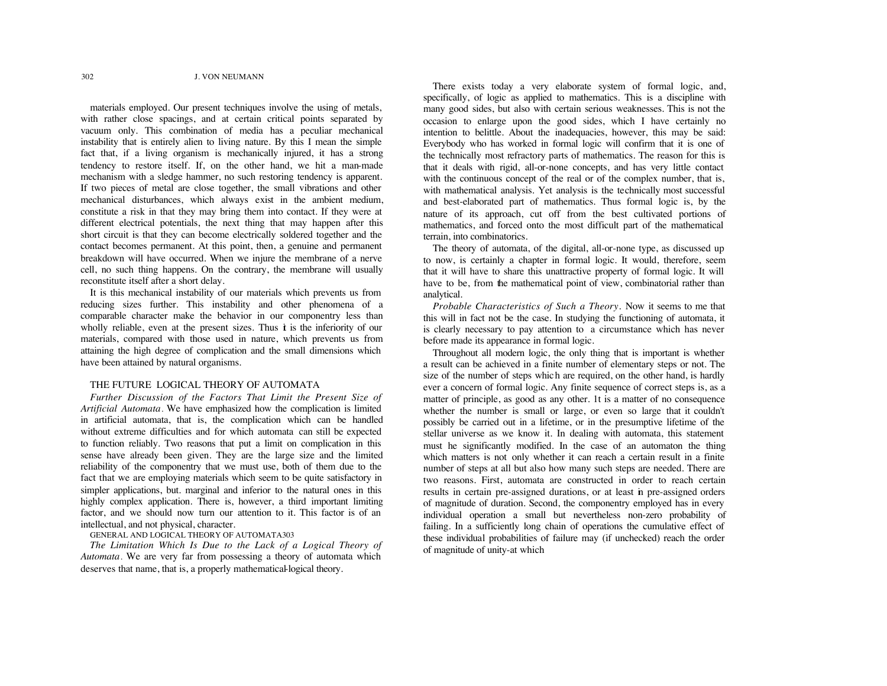materials employed. Our present techniques involve the using of metals, with rather close spacings, and at certain critical points separated by vacuum only. This combination of media has a peculiar mechanical instability that is entirely alien to living nature. By this I mean the simple fact that, if a living organism is mechanically injured, it has a strong tendency to restore itself. If, on the other hand, we hit a man-made mechanism with a sledge hammer, no such restoring tendency is apparent. If two pieces of metal are close together, the small vibrations and other mechanical disturbances, which always exist in the ambient medium, constitute a risk in that they may bring them into contact. If they were at different electrical potentials, the next thing that may happen after this short circuit is that they can become electrically soldered together and the contact becomes permanent. At this point, then, a genuine and permanent breakdown will have occurred. When we injure the membrane of a nerve cell, no such thing happens. On the contrary, the membrane will usually reconstitute itself after a short delay.

It is this mechanical instability of our materials which prevents us from reducing sizes further. This instability and other phenomena of a comparable character make the behavior in our componentry less than wholly reliable, even at the present sizes. Thus  $\dot{t}$  is the inferiority of our materials, compared with those used in nature, which prevents us from attaining the high degree of complication and the small dimensions which have been attained by natural organisms.

# THE FUTURE LOGICAL THEORY OF AUTOMATA

*Further Discussion of the Factors That Limit the Present Size of Artificial Automata.* We have emphasized how the complication is limited in artificial automata, that is, the complication which can be handled without extreme difficulties and for which automata can still be expected to function reliably. Two reasons that put a limit on complication in this sense have already been given. They are the large size and the limited reliability of the componentry that we must use, both of them due to the fact that we are employing materials which seem to be quite satisfactory in simpler applications, but. marginal and inferior to the natural ones in this highly complex application. There is, however, a third important limiting factor, and we should now turn our attention to it. This factor is of an intellectual, and not physical, character.

GENERAL AND LOGICAL THEORY OF AUTOMATA303

*The Limitation Which Is Due to the Lack of a Logical Theory of Automata.* We are very far from possessing a theory of automata which deserves that name, that is, a properly mathematical-logical theory.

There exists today a very elaborate system of formal logic, and, specifically, of logic as applied to mathematics. This is a discipline with many good sides, but also with certain serious weaknesses. This is not the occasion to enlarge upon the good sides, which I have certainly no intention to belittle. About the inadequacies, however, this may be said: Everybody who has worked in formal logic will confirm that it is one of the technically most refractory parts of mathematics. The reason for this is that it deals with rigid, all-or-none concepts, and has very little contact with the continuous concept of the real or of the complex number, that is, with mathematical analysis. Yet analysis is the technically most successful and best-elaborated part of mathematics. Thus formal logic is, by the nature of its approach, cut off from the best cultivated portions of mathematics, and forced onto the most difficult part of the mathematical terrain, into combinatorics.

The theory of automata, of the digital, all-or-none type, as discussed up to now, is certainly a chapter in formal logic. It would, therefore, seem that it will have to share this unattractive property of formal logic. It will have to be, from the mathematical point of view, combinatorial rather than analytical.

*Probable Characteristics of Such a Theory.* Now it seems to me that this will in fact not be the case. In studying the functioning of automata, it is clearly necessary to pay attention to a circumstance which has never before made its appearance in formal logic.

Throughout all modern logic, the only thing that is important is whether a result can be achieved in a finite number of elementary steps or not. The size of the number of steps which are required, on the other hand, is hardly ever a concern of formal logic. Any finite sequence of correct steps is, as a matter of principle, as good as any other. 1t is a matter of no consequence whether the number is small or large, or even so large that it couldn't possibly be carried out in a lifetime, or in the presumptive lifetime of the stellar universe as we know it. In dealing with automata, this statement must he significantly modified. In the case of an automaton the thing which matters is not only whether it can reach a certain result in a finite number of steps at all but also how many such steps are needed. There are two reasons. First, automata are constructed in order to reach certain results in certain pre-assigned durations, or at least in pre-assigned orders of magnitude of duration. Second, the componentry employed has in every individual operation a small but nevertheless non-zero probability of failing. In a sufficiently long chain of operations the cumulative effect of these individual probabilities of failure may (if unchecked) reach the order of magnitude of unity-at which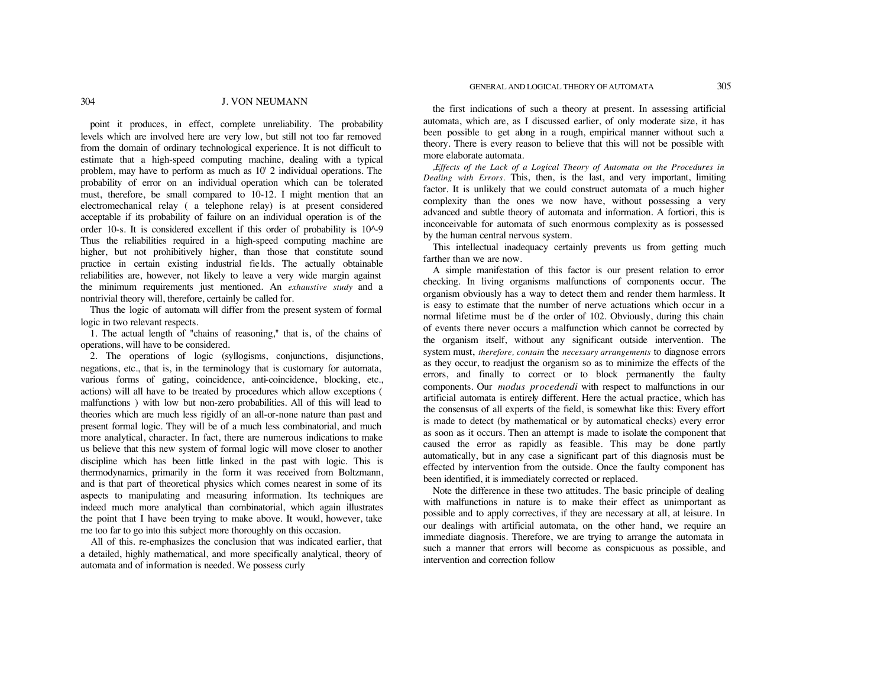point it produces, in effect, complete unreliability. The probability levels which are involved here are very low, but still not too far removed from the domain of ordinary technological experience. It is not difficult to estimate that a high-speed computing machine, dealing with a typical problem, may have to perform as much as 10' 2 individual operations. The probability of error on an individual operation which can be tolerated must, therefore, be small compared to 10-12. I might mention that an electromechanical relay ( a telephone relay) is at present considered acceptable if its probability of failure on an individual operation is of the order 10-s. It is considered excellent if this order of probability is 10^-9 Thus the reliabilities required in a high-speed computing machine are higher, but not prohibitively higher, than those that constitute sound practice in certain existing industrial fields. The actually obtainable reliabilities are, however, not likely to leave a very wide margin against the minimum requirements just mentioned. An *exhaustive study* and a nontrivial theory will, therefore, certainly be called for.

Thus the logic of automata will differ from the present system of formal logic in two relevant respects.

1. The actual length of "chains of reasoning," that is, of the chains of operations, will have to be considered.

2. The operations of logic (syllogisms, conjunctions, disjunctions, negations, etc., that is, in the terminology that is customary for automata, various forms of gating, coincidence, anti-coincidence, blocking, etc., actions) will all have to be treated by procedures which allow exceptions ( malfunctions ) with low but non-zero probabilities. All of this will lead to theories which are much less rigidly of an all-or-none nature than past and present formal logic. They will be of a much less combinatorial, and much more analytical, character. In fact, there are numerous indications to make us believe that this new system of formal logic will move closer to another discipline which has been little linked in the past with logic. This is thermodynamics, primarily in the form it was received from Boltzmann, and is that part of theoretical physics which comes nearest in some of its aspects to manipulating and measuring information. Its techniques are indeed much more analytical than combinatorial, which again illustrates the point that I have been trying to make above. It would, however, take me too far to go into this subject more thoroughly on this occasion.

All of this. re-emphasizes the conclusion that was indicated earlier, that a detailed, highly mathematical, and more specifically analytical, theory of automata and of information is needed. We possess curly

the first indications of such a theory at present. In assessing artificial automata, which are, as I discussed earlier, of only moderate size, it has been possible to get along in a rough, empirical manner without such a theory. There is every reason to believe that this will not be possible with more elaborate automata.

*,Effects of the Lack of a Logical Theory of Automata on the Procedures in Dealing with Errors.* This, then, is the last, and very important, limiting factor. It is unlikely that we could construct automata of a much higher complexity than the ones we now have, without possessing a very advanced and subtle theory of automata and information. A fortiori, this is inconceivable for automata of such enormous complexity as is possessed by the human central nervous system.

This intellectual inadequacy certainly prevents us from getting much farther than we are now.

A simple manifestation of this factor is our present relation to error checking. In living organisms malfunctions of components occur. The organism obviously has a way to detect them and render them harmless. It is easy to estimate that the number of nerve actuations which occur in a normal lifetime must be d the order of 102. Obviously, during this chain of events there never occurs a malfunction which cannot be corrected by the organism itself, without any significant outside intervention. The system must, *therefore, contain* the *necessary arrangements* to diagnose errors as they occur, to readjust the organism so as to minimize the effects of the errors, and finally to correct or to block permanently the faulty components. Our *modus procedendi* with respect to malfunctions in our artificial automata is entirely different. Here the actual practice, which has the consensus of all experts of the field, is somewhat like this: Every effort is made to detect (by mathematical or by automatical checks) every error as soon as it occurs. Then an attempt is made to isolate the component that caused the error as rapidly as feasible. This may be done partly automatically, but in any case a significant part of this diagnosis must be effected by intervention from the outside. Once the faulty component has been identified, it is immediately corrected or replaced.

Note the difference in these two attitudes. The basic principle of dealing with malfunctions in nature is to make their effect as unimportant as possible and to apply correctives, if they are necessary at all, at leisure. 1n our dealings with artificial automata, on the other hand, we require an immediate diagnosis. Therefore, we are trying to arrange the automata in such a manner that errors will become as conspicuous as possible, and intervention and correction follow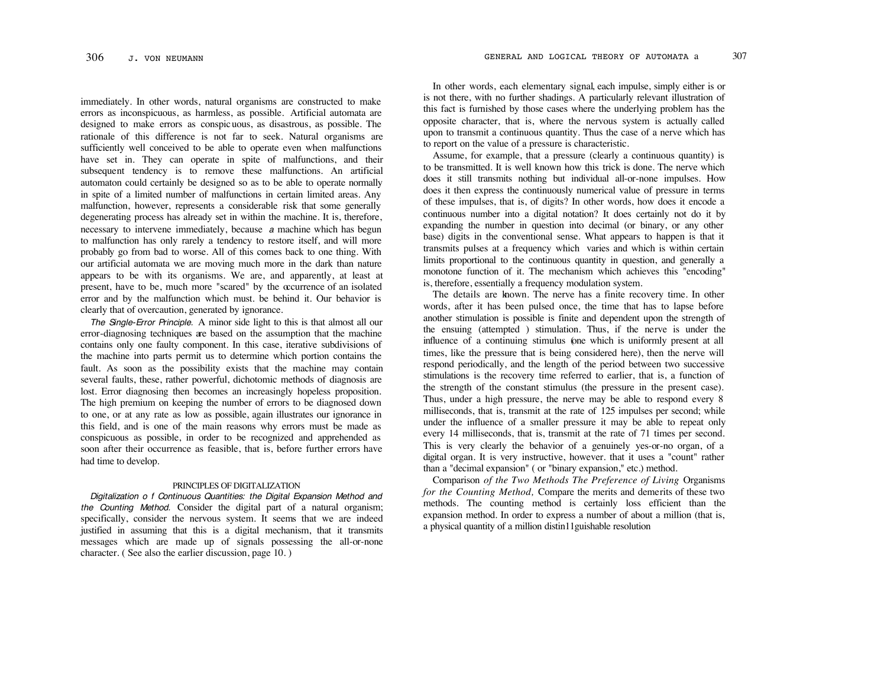immediately. In other words, natural organisms are constructed to make errors as inconspicuous, as harmless, as possible. Artificial automata are designed to make errors as conspicuous, as disastrous, as possible. The rationale of this difference is not far to seek. Natural organisms are sufficiently well conceived to be able to operate even when malfunctions have set in. They can operate in spite of malfunctions, and their subsequent tendency is to remove these malfunctions. An artificial automaton could certainly be designed so as to be able to operate normally in spite of a limited number of malfunctions in certain limited areas. Any malfunction, however, represents a considerable risk that some generally degenerating process has already set in within the machine. It is, therefore, necessary to intervene immediately, because *a* machine which has begun to malfunction has only rarely a tendency to restore itself, and will more probably go from bad to worse. All of this comes back to one thing. With our artificial automata we are moving much more in the dark than nature appears to be with its organisms. We are, and apparently, at least at present, have to be, much more "scared" by the occurrence of an isolated error and by the malfunction which must. be behind it. Our behavior is clearly that of overcaution, generated by ignorance.

*The Single-Error Principle.* A minor side light to this is that almost all our error-diagnosing techniques are based on the assumption that the machine contains only one faulty component. In this case, iterative subdivisions of the machine into parts permit us to determine which portion contains the fault. As soon as the possibility exists that the machine may contain several faults, these, rather powerful, dichotomic methods of diagnosis are lost. Error diagnosing then becomes an increasingly hopeless proposition. The high premium on keeping the number of errors to be diagnosed down to one, or at any rate as low as possible, again illustrates our ignorance in this field, and is one of the main reasons why errors must be made as conspicuous as possible, in order to be recognized and apprehended as soon after their occurrence as feasible, that is, before further errors have had time to develop.

## PRINCIPLES OF DIGITALIZATION

*Digitalization o f Continuous Quantities: the Digital Expansion Method and the Counting Method.* Consider the digital part of a natural organism; specifically, consider the nervous system. It seems that we are indeed justified in assuming that this is a digital mechanism, that it transmits messages which are made up of signals possessing the all-or-none character. ( See also the earlier discussion, page 10. )

In other words, each elementary signal, each impulse, simply either is or is not there, with no further shadings. A particularly relevant illustration of this fact is furnished by those cases where the underlying problem has the opposite character, that is, where the nervous system is actually called upon to transmit a continuous quantity. Thus the case of a nerve which has to report on the value of a pressure is characteristic.

Assume, for example, that a pressure (clearly a continuous quantity) is to be transmitted. It is well known how this trick is done. The nerve which does it still transmits nothing but individual all-or-none impulses. How does it then express the continuously numerical value of pressure in terms of these impulses, that is, of digits? In other words, how does it encode a continuous number into a digital notation? It does certainly not do it by expanding the number in question into decimal (or binary, or any other base) digits in the conventional sense. What appears to happen is that it transmits pulses at a frequency which varies and which is within certain limits proportional to the continuous quantity in question, and generally a monotone function of it. The mechanism which achieves this "encoding" is, therefore, essentially a frequency modulation system.

The details are known. The nerve has a finite recovery time. In other words, after it has been pulsed once, the time that has to lapse before another stimulation is possible is finite and dependent upon the strength of the ensuing (attempted ) stimulation. Thus, if the nerve is under the influence of a continuing stimulus (one which is uniformly present at all times, like the pressure that is being considered here), then the nerve will respond periodically, and the length of the period between two successive stimulations is the recovery time referred to earlier, that is, a function of the strength of the constant stimulus (the pressure in the present case). Thus, under a high pressure, the nerve may be able to respond every 8 milliseconds, that is, transmit at the rate of 125 impulses per second; while under the influence of a smaller pressure it may be able to repeat only every 14 milliseconds, that is, transmit at the rate of 71 times per second. This is very clearly the behavior of a genuinely yes-or-no organ, of a digital organ. It is very instructive, however. that it uses a "count" rather than a "decimal expansion" ( or "binary expansion," etc.) method.

Comparison *of the Two Methods The Preference of Living* Organisms *for the Counting Method,* Compare the merits and demerits of these two methods. The counting method is certainly loss efficient than the expansion method. In order to express a number of about a million (that is, a physical quantity of a million distin11guishable resolution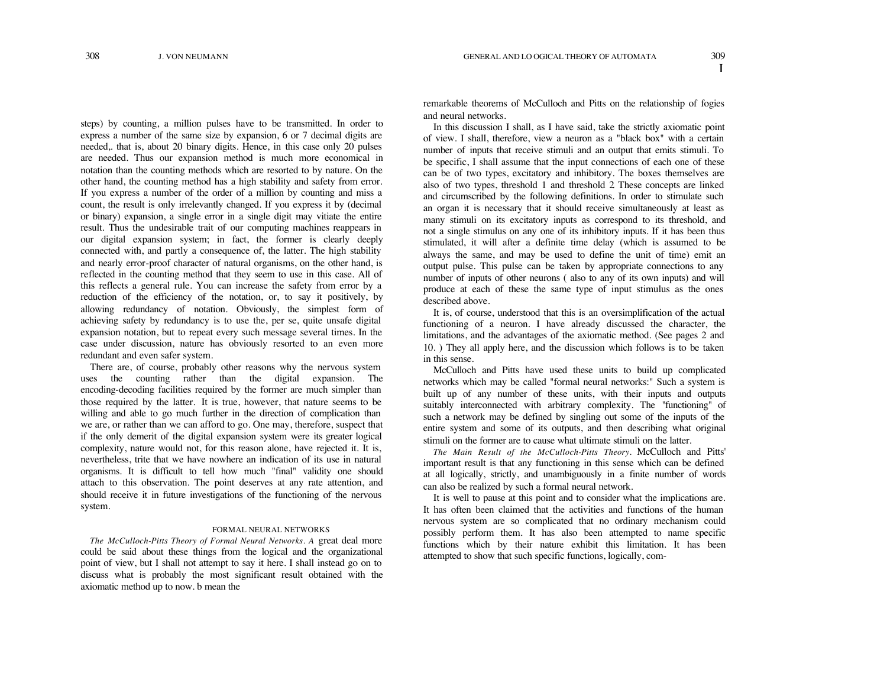steps) by counting, a million pulses have to be transmitted. In order to express a number of the same size by expansion, 6 or 7 decimal digits are needed,. that is, about 20 binary digits. Hence, in this case only 20 pulses are needed. Thus our expansion method is much more economical in notation than the counting methods which are resorted to by nature. On the other hand, the counting method has a high stability and safety from error. If you express a number of the order of a million by counting and miss a count, the result is only irrelevantly changed. If you express it by (decimal or binary) expansion, a single error in a single digit may vitiate the entire result. Thus the undesirable trait of our computing machines reappears in our digital expansion system; in fact, the former is clearly deeply connected with, and partly a consequence of, the latter. The high stability and nearly error-proof character of natural organisms, on the other hand, is reflected in the counting method that they seem to use in this case. All of this reflects a general rule. You can increase the safety from error by a reduction of the efficiency of the notation, or, to say it positively, by allowing redundancy of notation. Obviously, the simplest form of achieving safety by redundancy is to use the, per se, quite unsafe digital expansion notation, but to repeat every such message several times. In the case under discussion, nature has obviously resorted to an even more redundant and even safer system.

There are, of course, probably other reasons why the nervous system uses the counting rather than the digital expansion. The encoding-decoding facilities required by the former are much simpler than those required by the latter. It is true, however, that nature seems to be willing and able to go much further in the direction of complication than we are, or rather than we can afford to go. One may, therefore, suspect that if the only demerit of the digital expansion system were its greater logical complexity, nature would not, for this reason alone, have rejected it. It is, nevertheless, trite that we have nowhere an indication of its use in natural organisms. It is difficult to tell how much "final" validity one should attach to this observation. The point deserves at any rate attention, and should receive it in future investigations of the functioning of the nervous system.

#### FORMAL NEURAL NETWORKS

*The McCulloch-Pitts Theory of Formal Neural Networks. A* great deal more could be said about these things from the logical and the organizational point of view, but I shall not attempt to say it here. I shall instead go on to discuss what is probably the most significant result obtained with the axiomatic method up to now. b mean the

remarkable theorems of McCulloch and Pitts on the relationship of fogies and neural networks.

In this discussion I shall, as I have said, take the strictly axiomatic point of view. I shall, therefore, view a neuron as a "black box" with a certain number of inputs that receive stimuli and an output that emits stimuli. To be specific, I shall assume that the input connections of each one of these can be of two types, excitatory and inhibitory. The boxes themselves are also of two types, threshold 1 and threshold 2. These concepts are linked and circumscribed by the following definitions. In order to stimulate such an organ it is necessary that it should receive simultaneously at least as many stimuli on its excitatory inputs as correspond to its threshold, and not a single stimulus on any one of its inhibitory inputs. If it has been thus stimulated, it will after a definite time delay (which is assumed to be always the same, and may be used to define the unit of time) emit an output pulse. This pulse can be taken by appropriate connections to any number of inputs of other neurons ( also to any of its own inputs) and will produce at each of these the same type of input stimulus as the ones described above.

It is, of course, understood that this is an oversimplification of the actual functioning of a neuron. I have already discussed the character, the limitations, and the advantages of the axiomatic method. (See pages 2 and 10. ) They all apply here, and the discussion which follows is to be taken in this sense.

McCulloch and Pitts have used these units to build up complicated networks which may be called "formal neural networks:" Such a system is built up of any number of these units, with their inputs and outputs suitably interconnected with arbitrary complexity. The "functioning" of such a network may be defined by singling out some of the inputs of the entire system and some of its outputs, and then describing what original stimuli on the former are to cause what ultimate stimuli on the latter.

*The Main Result of the McCulloch-Pitts Theory.* McCulloch and Pitts' important result is that any functioning in this sense which can be defined at all logically, strictly, and unambiguously in a finite number of words can also be realized by such a formal neural network.

It is well to pause at this point and to consider what the implications are. It has often been claimed that the activities and functions of the human nervous system are so complicated that no ordinary mechanism could possibly perform them. It has also been attempted to name specific functions which by their nature exhibit this limitation. It has been attempted to show that such specific functions, logically, com-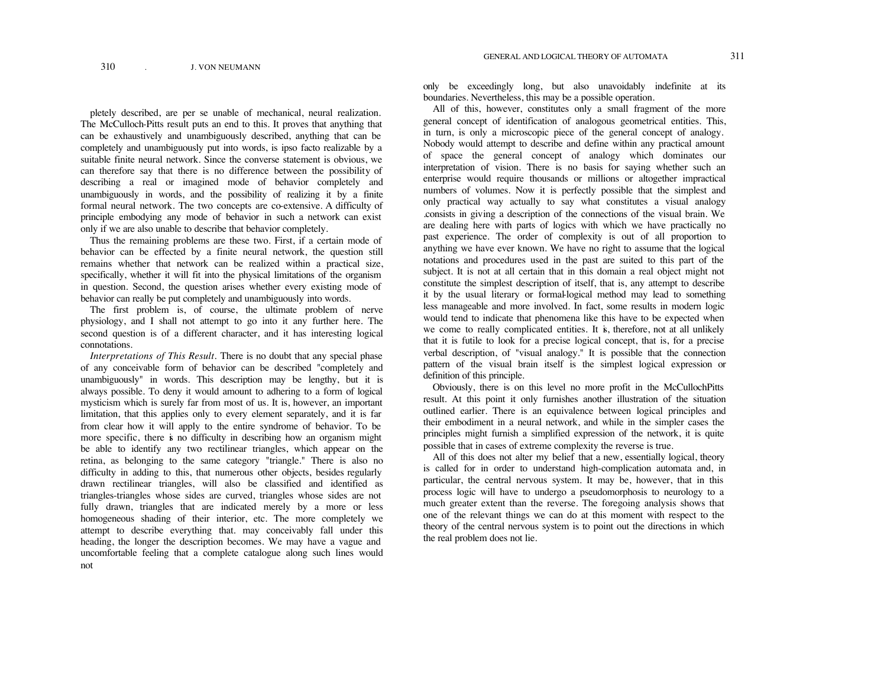pletely described, are per se unable of mechanical, neural realization. The McCulloch-Pitts result puts an end to this. It proves that anything that can be exhaustively and unambiguously described, anything that can be completely and unambiguously put into words, is ipso facto realizable by a suitable finite neural network. Since the converse statement is obvious, we can therefore say that there is no difference between the possibility of describing a real or imagined mode of behavior completely and unambiguously in words, and the possibility of realizing it by a finite formal neural network. The two concepts are co-extensive. A difficulty of principle embodying any mode of behavior in such a network can exist only if we are also unable to describe that behavior completely.

Thus the remaining problems are these two. First, if a certain mode of behavior can be effected by a finite neural network, the question still remains whether that network can be realized within a practical size, specifically, whether it will fit into the physical limitations of the organism in question. Second, the question arises whether every existing mode of behavior can really be put completely and unambiguously into words.

The first problem is, of course, the ultimate problem of nerve physiology, and I shall not attempt to go into it any further here. The second question is of a different character, and it has interesting logical connotations.

*Interpretations of This Result.* There is no doubt that any special phase of any conceivable form of behavior can be described "completely and unambiguously" in words. This description may be lengthy, but it is always possible. To deny it would amount to adhering to a form of logical mysticism which is surely far from most of us. It is, however, an important limitation, that this applies only to every element separately, and it is far from clear how it will apply to the entire syndrome of behavior. To be more specific, there is no difficulty in describing how an organism might be able to identify any two rectilinear triangles, which appear on the retina, as belonging to the same category "triangle." There is also no difficulty in adding to this, that numerous other objects, besides regularly drawn rectilinear triangles, will also be classified and identified as triangles-triangles whose sides are curved, triangles whose sides are not fully drawn, triangles that are indicated merely by a more or less homogeneous shading of their interior, etc. The more completely we attempt to describe everything that. may conceivably fall under this heading, the longer the description becomes. We may have a vague and uncomfortable feeling that a complete catalogue along such lines would not

only be exceedingly long, but also unavoidably indefinite at its boundaries. Nevertheless, this may be a possible operation.

All of this, however, constitutes only a small fragment of the more general concept of identification of analogous geometrical entities. This, in turn, is only a microscopic piece of the general concept of analogy. Nobody would attempt to describe and define within any practical amount of space the general concept of analogy which dominates our interpretation of vision. There is no basis for saying whether such an enterprise would require thousands or millions or altogether impractical numbers of volumes. Now it is perfectly possible that the simplest and only practical way actually to say what constitutes a visual analogy .consists in giving a description of the connections of the visual brain. We are dealing here with parts of logics with which we have practically no past experience. The order of complexity is out of all proportion to anything we have ever known. We have no right to assume that the logical notations and procedures used in the past are suited to this part of the subject. It is not at all certain that in this domain a real object might not constitute the simplest description of itself, that is, any attempt to describe it by the usual literary or formal-logical method may lead to something less manageable and more involved. In fact, some results in modern logic would tend to indicate that phenomena like this have to be expected when we come to really complicated entities. It is, therefore, not at all unlikely that it is futile to look for a precise logical concept, that is, for a precise verbal description, of "visual analogy." It is possible that the connection pattern of the visual brain itself is the simplest logical expression or definition of this principle.

Obviously, there is on this level no more profit in the McCullochPitts result. At this point it only furnishes another illustration of the situation outlined earlier. There is an equivalence between logical principles and their embodiment in a neural network, and while in the simpler cases the principles might furnish a simplified expression of the network, it is quite possible that in cases of extreme complexity the reverse is true.

All of this does not alter my belief that a new, essentially logical, theory is called for in order to understand high-complication automata and, in particular, the central nervous system. It may be, however, that in this process logic will have to undergo a pseudomorphosis to neurology to a much greater extent than the reverse. The foregoing analysis shows that one of the relevant things we can do at this moment with respect to the theory of the central nervous system is to point out the directions in which the real problem does not lie.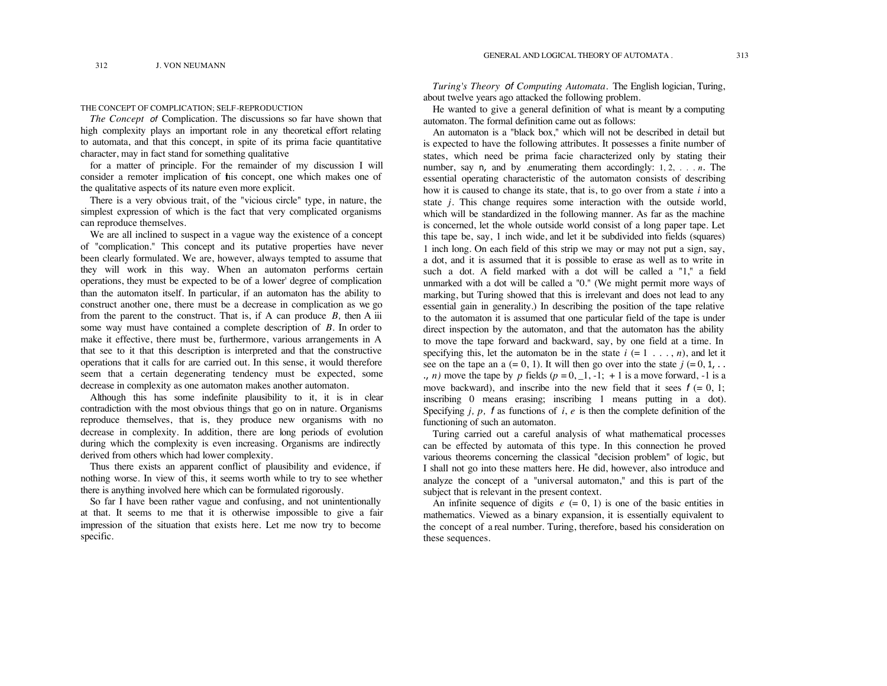# THE CONCEPT OF COMPLICATION; SELF-REPRODUCTION

*The Concept of* Complication. The discussions so far have shown that high complexity plays an important role in any theoretical effort relating to automata, and that this concept, in spite of its prima facie quantitative character, may in fact stand for something qualitative

for a matter of principle. For the remainder of my discussion I will consider a remoter implication of this concept, one which makes one of the qualitative aspects of its nature even more explicit.

There is a very obvious trait, of the "vicious circle" type, in nature, the simplest expression of which is the fact that very complicated organisms can reproduce themselves.

We are all inclined to suspect in a vague way the existence of a concept of "complication." This concept and its putative properties have never been clearly formulated. We are, however, always tempted to assume that they will work in this way. When an automaton performs certain operations, they must be expected to be of a lower' degree of complication than the automaton itself. In particular, if an automaton has the ability to construct another one, there must be a decrease in complication as we go from the parent to the construct. That is, if A can produce *B,* then A iii some way must have contained a complete description of *B.* In order to make it effective, there must be, furthermore, various arrangements in A that see to it that this description is interpreted and that the constructive operations that it calls for are carried out. In this sense, it would therefore seem that a certain degenerating tendency must be expected, some decrease in complexity as one automaton makes another automaton.

Although this has some indefinite plausibility to it, it is in clear contradiction with the most obvious things that go on in nature. Organisms reproduce themselves, that is, they produce new organisms with no decrease in complexity. In addition, there are long periods of evolution during which the complexity is even increasing. Organisms are indirectly derived from others which had lower complexity.

Thus there exists an apparent conflict of plausibility and evidence, if nothing worse. In view of this, it seems worth while to try to see whether there is anything involved here which can be formulated rigorously.

So far I have been rather vague and confusing, and not unintentionally at that. It seems to me that it is otherwise impossible to give a fair impression of the situation that exists here. Let me now try to become specific.

*Turing's Theory of Computing Automata.* The English logician, Turing, about twelve years ago attacked the following problem.

He wanted to give a general definition of what is meant by a computing automaton. The formal definition came out as follows:

An automaton is a "black box," which will not be described in detail but is expected to have the following attributes. It possesses a finite number of states, which need be prima facie characterized only by stating their number, say n, and by .enumerating them accordingly: 1, 2, . . . *n*. The essential operating characteristic of the automaton consists of describing how it is caused to change its state, that is, to go over from a state *i* into a state *j*. This change requires some interaction with the outside world, which will be standardized in the following manner. As far as the machine is concerned, let the whole outside world consist of a long paper tape. Let this tape be, say, 1 inch wide, and let it be subdivided into fields (squares) 1 inch long. On each field of this strip we may or may not put a sign, say, a dot, and it is assumed that it is possible to erase as well as to write in such a dot. A field marked with a dot will be called a "1," a field unmarked with a dot will be called a "0." (We might permit more ways of marking, but Turing showed that this is irrelevant and does not lead to any essential gain in generality.) In describing the position of the tape relative to the automaton it is assumed that one particular field of the tape is under direct inspection by the automaton, and that the automaton has the ability to move the tape forward and backward, say, by one field at a time. In specifying this, let the automaton be in the state  $i (= 1, \ldots, n)$ , and let it see on the tape an  $a (= 0, 1)$ . It will then go over into the state  $j (= 0, 1, ...)$ ., *n*) move the tape by *p* fields  $(p = 0, 1, -1; +1$  is a move forward,  $-1$  is a move backward), and inscribe into the new field that it sees  $f = 0, 1$ ; inscribing 0 means erasing; inscribing 1 means putting in a dot). Specifying  $j$ ,  $p$ ,  $f$  as functions of  $i$ ,  $e$  is then the complete definition of the functioning of such an automaton.

Turing carried out a careful analysis of what mathematical processes can be effected by automata of this type. In this connection he proved various theorems concerning the classical "decision problem" of logic, but I shall not go into these matters here. He did, however, also introduce and analyze the concept of a "universal automaton," and this is part of the subject that is relevant in the present context.

An infinite sequence of digits  $e (= 0, 1)$  is one of the basic entities in mathematics. Viewed as a binary expansion, it is essentially equivalent to the concept of a real number. Turing, therefore, based his consideration on these sequences.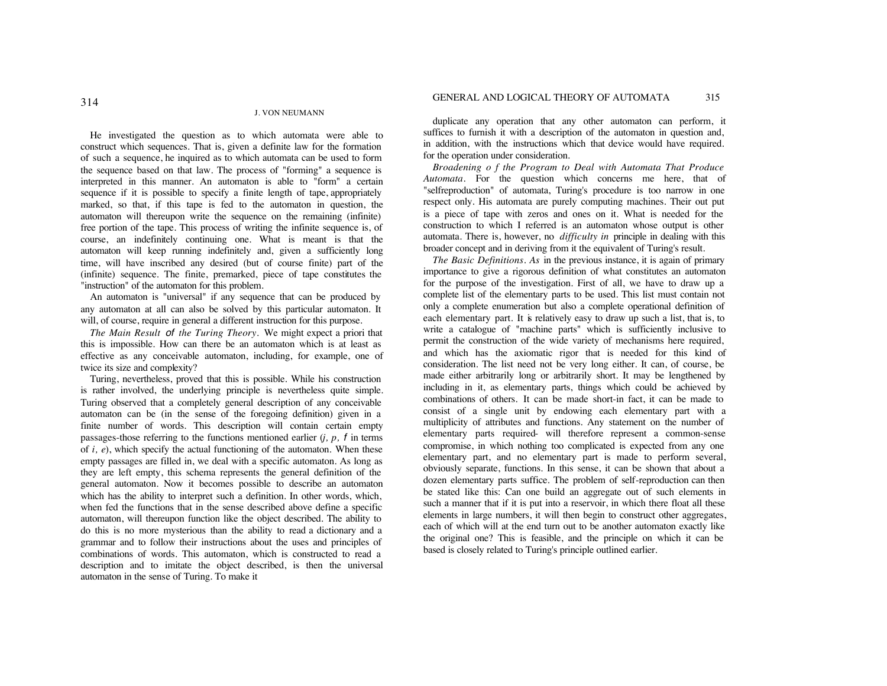He investigated the question as to which automata were able to construct which sequences. That is, given a definite law for the formation of such a sequence, he inquired as to which automata can be used to form the sequence based on that law. The process of "forming" a sequence is interpreted in this manner. An automaton is able to "form" a certain sequence if it is possible to specify a finite length of tape, appropriately marked, so that, if this tape is fed to the automaton in question, the automaton will thereupon write the sequence on the remaining (infinite) free portion of the tape. This process of writing the infinite sequence is, of course, an indefinitely continuing one. What is meant is that the automaton will keep running indefinitely and, given a sufficiently long time, will have inscribed any desired (but of course finite) part of the (infinite) sequence. The finite, premarked, piece of tape constitutes the "instruction" of the automaton for this problem.

An automaton is "universal" if any sequence that can be produced by any automaton at all can also be solved by this particular automaton. It will, of course, require in general a different instruction for this purpose.

*The Main Result of the Turing Theory.* We might expect a priori that this is impossible. How can there be an automaton which is at least as effective as any conceivable automaton, including, for example, one of twice its size and complexity?

Turing, nevertheless, proved that this is possible. While his construction is rather involved, the underlying principle is nevertheless quite simple. Turing observed that a completely general description of any conceivable automaton can be (in the sense of the foregoing definition) given in a finite number of words. This description will contain certain empty passages-those referring to the functions mentioned earlier  $(i, p, f)$  in terms of *i, e*), which specify the actual functioning of the automaton. When these empty passages are filled in, we deal with a specific automaton. As long as they are left empty, this schema represents the general definition of the general automaton. Now it becomes possible to describe an automaton which has the ability to interpret such a definition. In other words, which, when fed the functions that in the sense described above define a specific automaton, will thereupon function like the object described. The ability to do this is no more mysterious than the ability to read a dictionary and a grammar and to follow their instructions about the uses and principles of combinations of words. This automaton, which is constructed to read a description and to imitate the object described, is then the universal automaton in the sense of Turing. To make it

duplicate any operation that any other automaton can perform, it suffices to furnish it with a description of the automaton in question and, in addition, with the instructions which that device would have required. for the operation under consideration.

*Broadening o f the Program to Deal with Automata That Produce Automata.* For the question which concerns me here, that of "selfreproduction" of automata, Turing's procedure is too narrow in one respect only. His automata are purely computing machines. Their out put is a piece of tape with zeros and ones on it. What is needed for the construction to which I referred is an automaton whose output is other automata. There is, however, no *difficulty in* principle in dealing with this broader concept and in deriving from it the equivalent of Turing's result.

*The Basic Definitions. As in the previous instance, it is again of primary* importance to give a rigorous definition of what constitutes an automaton for the purpose of the investigation. First of all, we have to draw up a complete list of the elementary parts to be used. This list must contain not only a complete enumeration but also a complete operational definition of each elementary part. It is relatively easy to draw up such a list, that is, to write a catalogue of "machine parts" which is sufficiently inclusive to permit the construction of the wide variety of mechanisms here required, and which has the axiomatic rigor that is needed for this kind of consideration. The list need not be very long either. It can, of course, be made either arbitrarily long or arbitrarily short. It may be lengthened by including in it, as elementary parts, things which could be achieved by combinations of others. It can be made short-in fact, it can be made to consist of a single unit by endowing each elementary part with a multiplicity of attributes and functions. Any statement on the number of elementary parts required- will therefore represent a common-sense compromise, in which nothing too complicated is expected from any one elementary part, and no elementary part is made to perform several, obviously separate, functions. In this sense, it can be shown that about a dozen elementary parts suffice. The problem of self-reproduction can then be stated like this: Can one build an aggregate out of such elements in such a manner that if it is put into a reservoir, in which there float all these elements in large numbers, it will then begin to construct other aggregates, each of which will at the end turn out to be another automaton exactly like the original one? This is feasible, and the principle on which it can be based is closely related to Turing's principle outlined earlier.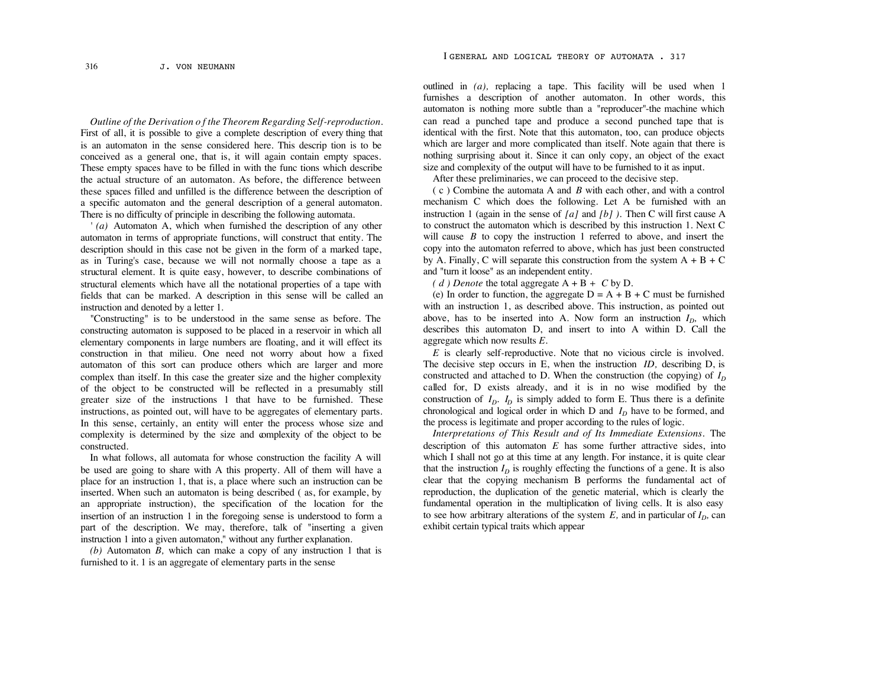*Outline of the Derivation o f the Theorem Regarding Self-reproduction.*  First of all, it is possible to give a complete description of every thing that is an automaton in the sense considered here. This descrip tion is to be conceived as a general one, that is, it will again contain empty spaces. These empty spaces have to be filled in with the func tions which describe the actual structure of an automaton. As before, the difference between these spaces filled and unfilled is the difference between the description of a specific automaton and the general description of a general automaton. There is no difficulty of principle in describing the following automata.

*' (a)* Automaton A, which when furnished the description of any other automaton in terms of appropriate functions, will construct that entity. The description should in this case not be given in the form of a marked tape, as in Turing's case, because we will not normally choose a tape as a structural element. It is quite easy, however, to describe combinations of structural elements which have all the notational properties of a tape with fields that can be marked. A description in this sense will be called an instruction and denoted by a letter 1.

"Constructing" is to be understood in the same sense as before. The constructing automaton is supposed to be placed in a reservoir in which all elementary components in large numbers are floating, and it will effect its construction in that milieu. One need not worry about how a fixed automaton of this sort can produce others which are larger and more complex than itself. In this case the greater size and the higher complexity of the object to be constructed will be reflected in a presumably still greater size of the instructions 1 that have to be furnished. These instructions, as pointed out, will have to be aggregates of elementary parts. In this sense, certainly, an entity will enter the process whose size and complexity is determined by the size and complexity of the object to be constructed.

In what follows, all automata for whose construction the facility A will be used are going to share with A this property. All of them will have a place for an instruction 1, that is, a place where such an instruction can be inserted. When such an automaton is being described ( as, for example, by an appropriate instruction), the specification of the location for the insertion of an instruction 1 in the foregoing sense is understood to form a part of the description. We may, therefore, talk of "inserting a given instruction 1 into a given automaton," without any further explanation.

*(b)* Automaton *B,* which can make a copy of any instruction 1 that is furnished to it. 1 is an aggregate of elementary parts in the sense

outlined in *(a),* replacing a tape. This facility will be used when 1 furnishes a description of another automaton. In other words, this automaton is nothing more subtle than a "reproducer"-the machine which can read a punched tape and produce a second punched tape that is identical with the first. Note that this automaton, too, can produce objects which are larger and more complicated than itself. Note again that there is nothing surprising about it. Since it can only copy, an object of the exact size and complexity of the output will have to be furnished to it as input.

After these preliminaries, we can proceed to the decisive step.

( c ) Combine the automata A and *B* with each other, and with a control mechanism C which does the following. Let A be furnished with an instruction 1 (again in the sense of *[a]* and *[b] ).* Then C will first cause A to construct the automaton which is described by this instruction 1. Next C will cause *B* to copy the instruction 1 referred to above, and insert the copy into the automaton referred to above, which has just been constructed by A. Finally, C will separate this construction from the system  $A + B + C$ and "turn it loose" as an independent entity.

*( d ) Denote* the total aggregate  $A + B + C$  by D.

(e) In order to function, the aggregate  $D = A + B + C$  must be furnished with an instruction 1, as described above. This instruction, as pointed out above, has to be inserted into A. Now form an instruction  $I<sub>D</sub>$ , which describes this automaton D, and insert to into A within D. Call the aggregate which now results *E.*

*E* is clearly self-reproductive. Note that no vicious circle is involved. The decisive step occurs in E, when the instruction *ID,* describing D, is constructed and attached to D. When the construction (the copying) of  $I_D$ called for, D exists already, and it is in no wise modified by the construction of  $I_D$ .  $I_D$  is simply added to form E. Thus there is a definite chronological and logical order in which  $D$  and  $I_D$  have to be formed, and the process is legitimate and proper according to the rules of logic.

*Interpretations of This Result and of Its Immediate Extensions.* The description of this automaton *E* has some further attractive sides, into which I shall not go at this time at any length. For instance, it is quite clear that the instruction  $I_D$  is roughly effecting the functions of a gene. It is also clear that the copying mechanism B performs the fundamental act of reproduction, the duplication of the genetic material, which is clearly the fundamental operation in the multiplication of living cells. It is also easy to see how arbitrary alterations of the system  $E$ , and in particular of  $I<sub>D</sub>$ , can exhibit certain typical traits which appear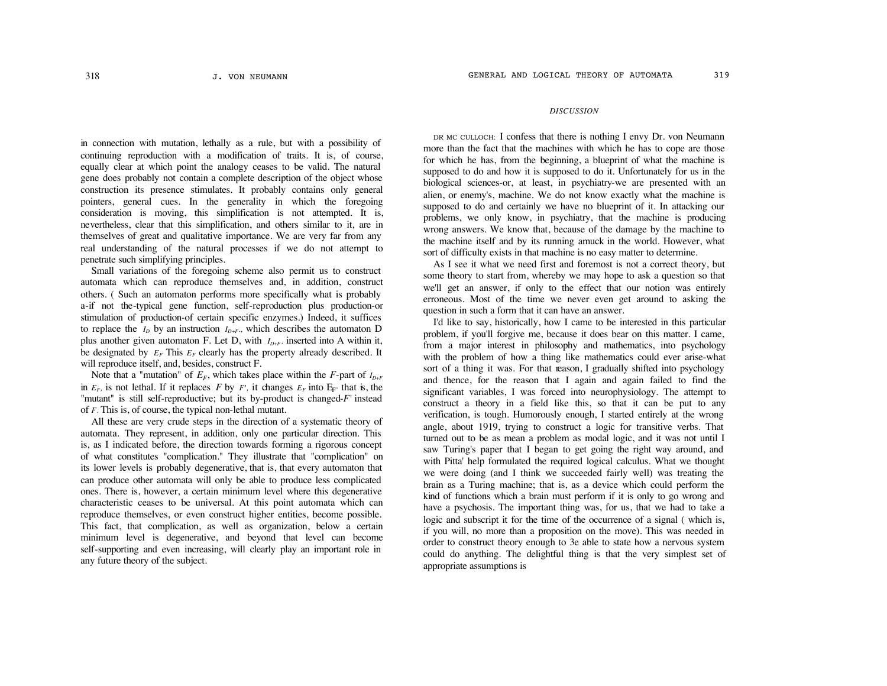#### *DISCUSSION*

in connection with mutation, lethally as a rule, but with a possibility of continuing reproduction with a modification of traits. It is, of course, equally clear at which point the analogy ceases to be valid. The natural gene does probably not contain a complete description of the object whose construction its presence stimulates. It probably contains only general pointers, general cues. In the generality in which the foregoing consideration is moving, this simplification is not attempted. It is, nevertheless, clear that this simplification, and others similar to it, are in themselves of great and qualitative importance. We are very far from any real understanding of the natural processes if we do not attempt to penetrate such simplifying principles.

Small variations of the foregoing scheme also permit us to construct automata which can reproduce themselves and, in addition, construct others. ( Such an automaton performs more specifically what is probably a-if not the-typical gene function, self-reproduction plus production-or stimulation of production-of certain specific enzymes.) Indeed, it suffices to replace the  $I_D$  by an instruction  $I_{D+F}$ , which describes the automaton D plus another given automaton F. Let D, with  $I_{D+F}$  inserted into A within it, be designated by  $E_F$  This  $E_F$  clearly has the property already described. It will reproduce itself, and, besides, construct F.

Note that a "mutation" of  $E_F$ , which takes place within the *F*-part of  $I_{D+F}$ in  $E_F$ , is not lethal. If it replaces *F* by *F'*, it changes  $E_F$  into  $E_F$ , that is, the "mutant" is still self-reproductive; but its by-product is changed-*F'* instead of *F.* This is, of course, the typical non-lethal mutant.

All these are very crude steps in the direction of a systematic theory of automata. They represent, in addition, only one particular direction. This is, as I indicated before, the direction towards forming a rigorous concept of what constitutes "complication." They illustrate that "complication" on its lower levels is probably degenerative, that is, that every automaton that can produce other automata will only be able to produce less complicated ones. There is, however, a certain minimum level where this degenerative characteristic ceases to be universal. At this point automata which can reproduce themselves, or even construct higher entities, become possible. This fact, that complication, as well as organization, below a certain minimum level is degenerative, and beyond that level can become self-supporting and even increasing, will clearly play an important role in any future theory of the subject.

DR MC CULLOCH: I confess that there is nothing I envy Dr. von Neumann more than the fact that the machines with which he has to cope are those for which he has, from the beginning, a blueprint of what the machine is supposed to do and how it is supposed to do it. Unfortunately for us in the biological sciences-or, at least, in psychiatry-we are presented with an alien, or enemy's, machine. We do not know exactly what the machine is supposed to do and certainly we have no blueprint of it. In attacking our problems, we only know, in psychiatry, that the machine is producing wrong answers. We know that, because of the damage by the machine to the machine itself and by its running amuck in the world. However, what sort of difficulty exists in that machine is no easy matter to determine.

As I see it what we need first and foremost is not a correct theory, but some theory to start from, whereby we may hope to ask a question so that we'll get an answer, if only to the effect that our notion was entirely erroneous. Most of the time we never even get around to asking the question in such a form that it can have an answer.

I'd like to say, historically, how I came to be interested in this particular problem, if you'll forgive me, because it does bear on this matter. I came, from a major interest in philosophy and mathematics, into psychology with the problem of how a thing like mathematics could ever arise-what sort of a thing it was. For that reason, I gradually shifted into psychology and thence, for the reason that I again and again failed to find the significant variables, I was forced into neurophysiology. The attempt to construct a theory in a field like this, so that it can be put to any verification, is tough. Humorously enough, I started entirely at the wrong angle, about 1919, trying to construct a logic for transitive verbs. That turned out to be as mean a problem as modal logic, and it was not until I saw Turing's paper that I began to get going the right way around, and with Pitta' help formulated the required logical calculus. What we thought we were doing (and I think we succeeded fairly well) was treating the brain as a Turing machine; that is, as a device which could perform the kind of functions which a brain must perform if it is only to go wrong and have a psychosis. The important thing was, for us, that we had to take a logic and subscript it for the time of the occurrence of a signal ( which is, if you will, no more than a proposition on the move). This was needed in order to construct theory enough to 3e able to state how a nervous system could do anything. The delightful thing is that the very simplest set of appropriate assumptions is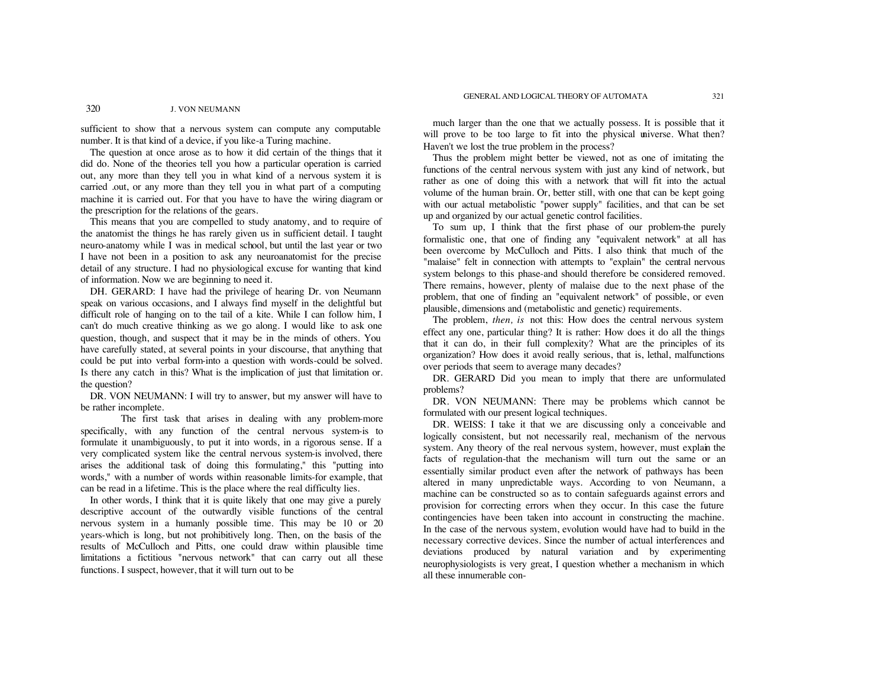sufficient to show that a nervous system can compute any computable number. It is that kind of a device, if you like-a Turing machine.

The question at once arose as to how it did certain of the things that it did do. None of the theories tell you how a particular operation is carried out, any more than they tell you in what kind of a nervous system it is carried .out, or any more than they tell you in what part of a computing machine it is carried out. For that you have to have the wiring diagram or the prescription for the relations of the gears.

This means that you are compelled to study anatomy, and to require of the anatomist the things he has rarely given us in sufficient detail. I taught neuro-anatomy while I was in medical school, but until the last year or two I have not been in a position to ask any neuroanatomist for the precise detail of any structure. I had no physiological excuse for wanting that kind of information. Now we are beginning to need it.

DH. GERARD: I have had the privilege of hearing Dr. von Neumann speak on various occasions, and I always find myself in the delightful but difficult role of hanging on to the tail of a kite. While I can follow him, I can't do much creative thinking as we go along. I would like to ask one question, though, and suspect that it may be in the minds of others. You have carefully stated, at several points in your discourse, that anything that could be put into verbal form-into a question with words-could be solved. Is there any catch in this? What is the implication of just that limitation or. the question?

DR. VON NEUMANN: I will try to answer, but my answer will have to be rather incomplete.

The first task that arises in dealing with any problem-more specifically, with any function of the central nervous system-is to formulate it unambiguously, to put it into words, in a rigorous sense. If a very complicated system like the central nervous system-is involved, there arises the additional task of doing this formulating," this "putting into words," with a number of words within reasonable limits-for example, that can be read in a lifetime. This is the place where the real difficulty lies.

In other words, I think that it is quite likely that one may give a purely descriptive account of the outwardly visible functions of the central nervous system in a humanly possible time. This may be 10 or 20 years-which is long, but not prohibitively long. Then, on the basis of the results of McCulloch and Pitts, one could draw within plausible time limitations a fictitious "nervous network" that can carry out all these functions. I suspect, however, that it will turn out to be

much larger than the one that we actually possess. It is possible that it will prove to be too large to fit into the physical universe. What then? Haven't we lost the true problem in the process?

Thus the problem might better be viewed, not as one of imitating the functions of the central nervous system with just any kind of network, but rather as one of doing this with a network that will fit into the actual volume of the human brain. Or, better still, with one that can be kept going with our actual metabolistic "power supply" facilities, and that can be set up and organized by our actual genetic control facilities.

To sum up, I think that the first phase of our problem-the purely formalistic one, that one of finding any "equivalent network" at all has been overcome by McCulloch and Pitts. I also think that much of the "malaise" felt in connection with attempts to "explain" the central nervous system belongs to this phase-and should therefore be considered removed. There remains, however, plenty of malaise due to the next phase of the problem, that one of finding an "equivalent network" of possible, or even plausible, dimensions and (metabolistic and genetic) requirements.

The problem, *then, is* not this: How does the central nervous system effect any one, particular thing? It is rather: How does it do all the things that it can do, in their full complexity? What are the principles of its organization? How does it avoid really serious, that is, lethal, malfunctions over periods that seem to average many decades?

DR. GERARD Did you mean to imply that there are unformulated problems?

DR. VON NEUMANN: There may be problems which cannot be formulated with our present logical techniques.

DR. WEISS: I take it that we are discussing only a conceivable and logically consistent, but not necessarily real, mechanism of the nervous system. Any theory of the real nervous system, however, must explain the facts of regulation-that the mechanism will turn out the same or an essentially similar product even after the network of pathways has been altered in many unpredictable ways. According to von Neumann, a machine can be constructed so as to contain safeguards against errors and provision for correcting errors when they occur. In this case the future contingencies have been taken into account in constructing the machine. In the case of the nervous system, evolution would have had to build in the necessary corrective devices. Since the number of actual interferences and deviations produced by natural variation and by experimenting neurophysiologists is very great, I question whether a mechanism in which all these innumerable con-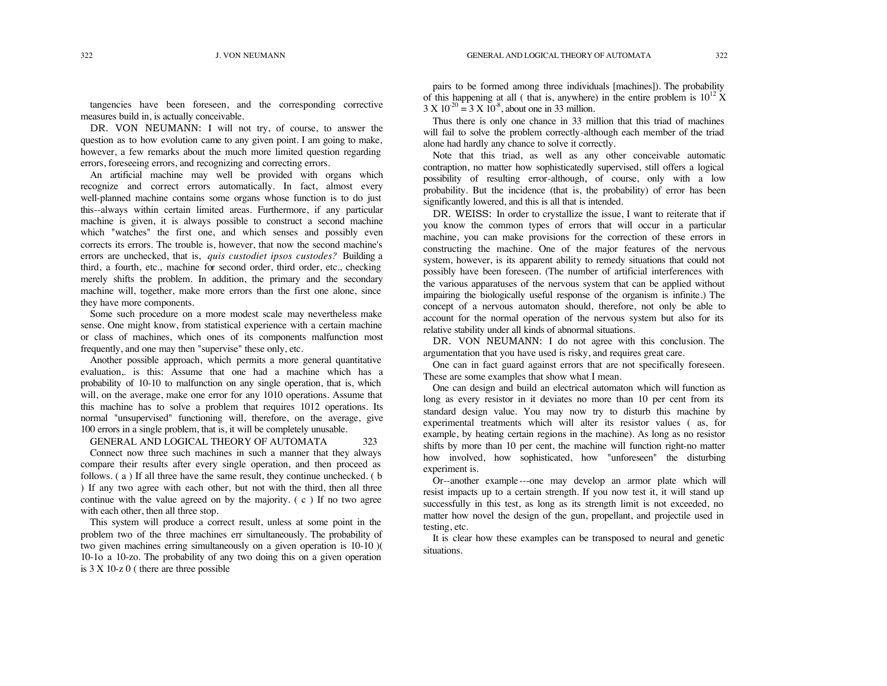tangencies have been foreseen, and the corresponding corrective measures build in, is actually conceivable.

DR. VON NEUMANN: I will not try, of course, to answer the question as to how evolution came to any given point. I am going to make, however, a few remarks about the much more limited question regarding errors, foreseeing errors, and recognizing and correcting errors.

An artificial machine may well be provided with organs which recognize and correct errors automatically. In fact, almost every well-planned machine contains some organs whose function is to do just this--always within certain limited areas. Furthermore, if any particular machine is given, it is always possible to construct a second machine which "watches" the first one, and which senses and possibly even corrects its errors. The trouble is, however, that now the second machine's errors are unchecked, that is, *quis custodiet ipsos custodes?* Building a third, a fourth, etc., machine for second order, third order, etc., checking merely shifts the problem. In addition, the primary and the secondary machine will, together, make more errors than the first one alone, since they have more components.

Some such procedure on a more modest scale may nevertheless make sense. One might know, from statistical experience with a certain machine or class of machines, which ones of its components malfunction most frequently, and one may then "supervise" these only, etc.

Another possible approach, which permits a more general quantitative evaluation,. is this: Assume that one had a machine which has a probability of 10-10 to malfunction on any single operation, that is, which will, on the average, make one error for any 1010 operations. Assume that this machine has to solve a problem that requires 1012 operations. Its normal "unsupervised" functioning will, therefore, on the average, give 100 errors in a single problem, that is, it will be completely unusable.

GENERAL AND LOGICAL THEORY OF AUTOMATA 323 Connect now three such machines in such a manner that they always compare their results after every single operation, and then proceed as follows. ( a ) If all three have the same result, they continue unchecked. ( b ) If any two agree with each other, but not with the third, then all three continue with the value agreed on by the majority. ( c ) If no two agree with each other, then all three stop.

This system will produce a correct result, unless at some point in the problem two of the three machines err simultaneously. The probability of two given machines erring simultaneously on a given operation is 10-10 )( 10-1o a 10-zo. The probability of any two doing this on a given operation is 3 X 10-z 0 ( there are three possible

pairs to be formed among three individuals [machines]). The probability of this happening at all ( that is, anywhere) in the entire problem is  $10^{12}$  X  $3 \text{ X } 10^{-20} = 3 \text{ X } 10^{-8}$ , about one in 33 million.

Thus there is only one chance in 33 million that this triad of machines will fail to solve the problem correctly-although each member of the triad alone had hardly any chance to solve it correctly.

Note that this triad, as well as any other conceivable automatic contraption, no matter how sophisticatedly supervised, still offers a logical possibility of resulting error-although, of course, only with a low probability. But the incidence (that is, the probability) of error has been significantly lowered, and this is all that is intended.

DR. WEISS: In order to crystallize the issue, I want to reiterate that if you know the common types of errors that will occur in a particular machine, you can make provisions for the correction of these errors in constructing the machine. One of the major features of the nervous system, however, is its apparent ability to remedy situations that could not possibly have been foreseen. (The number of artificial interferences with the various apparatuses of the nervous system that can be applied without impairing the biologically useful response of the organism is infinite.) The concept of a nervous automaton should, therefore, not only be able to account for the normal operation of the nervous system but also for its relative stability under all kinds of abnormal situations.

DR. VON NEUMANN: I do not agree with this conclusion. The argumentation that you have used is risky, and requires great care.

One can in fact guard against errors that are not specifically foreseen. These are some examples that show what I mean.

One can design and build an electrical automaton which will function as long as every resistor in it deviates no more than 10 per cent from its standard design value. You may now try to disturb this machine by experimental treatments which will alter its resistor values ( as, for example, by heating certain regions in the machine). As long as no resistor shifts by more than 10 per cent, the machine will function right-no matter how involved, how sophisticated, how "unforeseen" the disturbing experiment is.

Or--another example---one may develop an armor plate which will resist impacts up to a certain strength. If you now test it, it will stand up successfully in this test, as long as its strength limit is not exceeded, no matter how novel the design of the gun, propellant, and projectile used in testing, etc.

It is clear how these examples can be transposed to neural and genetic situations.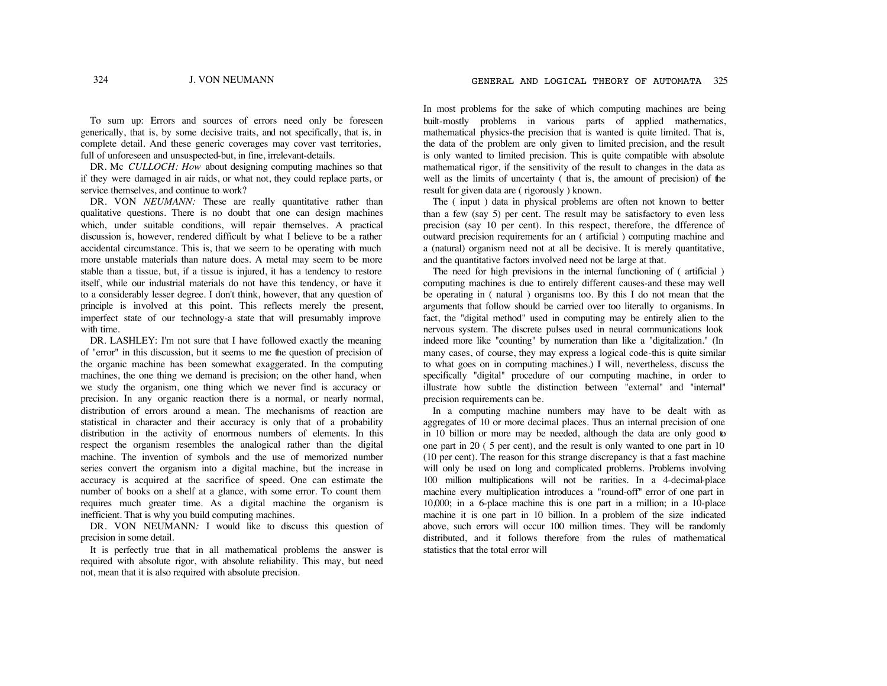To sum up: Errors and sources of errors need only be foreseen generically, that is, by some decisive traits, and not specifically, that is, in complete detail. And these generic coverages may cover vast territories, full of unforeseen and unsuspected-but, in fine, irrelevant-details.

DR. Mc *CULLOCH: How* about designing computing machines so that if they were damaged in air raids, or what not, they could replace parts, or service themselves, and continue to work?

DR. VON *NEUMANN*: These are really quantitative rather than qualitative questions. There is no doubt that one can design machines which, under suitable conditions, will repair themselves. A practical discussion is, however, rendered difficult by what I believe to be a rather accidental circumstance. This is, that we seem to be operating with much more unstable materials than nature does. A metal may seem to be more stable than a tissue, but, if a tissue is injured, it has a tendency to restore itself, while our industrial materials do not have this tendency, or have it to a considerably lesser degree. I don't think, however, that any question of principle is involved at this point. This reflects merely the present, imperfect state of our technology-a state that will presumably improve with time.

DR. LASHLEY: I'm not sure that I have followed exactly the meaning of "error" in this discussion, but it seems to me the question of precision of the organic machine has been somewhat exaggerated. In the computing machines, the one thing we demand is precision; on the other hand, when we study the organism, one thing which we never find is accuracy or precision. In any organic reaction there is a normal, or nearly normal, distribution of errors around a mean. The mechanisms of reaction are statistical in character and their accuracy is only that of a probability distribution in the activity of enormous numbers of elements. In this respect the organism resembles the analogical rather than the digital machine. The invention of symbols and the use of memorized number series convert the organism into a digital machine, but the increase in accuracy is acquired at the sacrifice of speed. One can estimate the number of books on a shelf at a glance, with some error. To count them requires much greater time. As a digital machine the organism is inefficient. That is why you build computing machines.

DR. VON NEUMANN: I would like to discuss this question of precision in some detail.

It is perfectly true that in all mathematical problems the answer is required with absolute rigor, with absolute reliability. This may, but need not, mean that it is also required with absolute precision.

In most problems for the sake of which computing machines are being built-mostly problems in various parts of applied mathematics, mathematical physics-the precision that is wanted is quite limited. That is, the data of the problem are only given to limited precision, and the result is only wanted to limited precision. This is quite compatible with absolute mathematical rigor, if the sensitivity of the result to changes in the data as well as the limits of uncertainty ( that is, the amount of precision) of the result for given data are ( rigorously ) known.

The ( input ) data in physical problems are often not known to better than a few (say 5) per cent. The result may be satisfactory to even less precision (say 10 per cent). In this respect, therefore, the difference of outward precision requirements for an ( artificial ) computing machine and a (natural) organism need not at all be decisive. It is merely quantitative, and the quantitative factors involved need not be large at that.

The need for high previsions in the internal functioning of ( artificial ) computing machines is due to entirely different causes-and these may well be operating in ( natural ) organisms too. By this I do not mean that the arguments that follow should be carried over too literally to organisms. In fact, the "digital method" used in computing may be entirely alien to the nervous system. The discrete pulses used in neural communications look indeed more like "counting" by numeration than like a "digitalization." (In many cases, of course, they may express a logical code-this is quite similar to what goes on in computing machines.) I will, nevertheless, discuss the specifically "digital" procedure of our computing machine, in order to illustrate how subtle the distinction between "external" and "internal" precision requirements can be.

In a computing machine numbers may have to be dealt with as aggregates of 10 or more decimal places. Thus an internal precision of one in 10 billion or more may be needed, although the data are only good to one part in 20 ( 5 per cent), and the result is only wanted to one part in 10 (10 per cent). The reason for this strange discrepancy is that a fast machine will only be used on long and complicated problems. Problems involving 100 million multiplications will not be rarities. In a 4-decimal-place machine every multiplication introduces a "round-off" error of one part in 10,000; in a 6-place machine this is one part in a million; in a 10-place machine it is one part in 10 billion. In a problem of the size indicated above, such errors will occur 100 million times. They will be randomly distributed, and it follows therefore from the rules of mathematical statistics that the total error will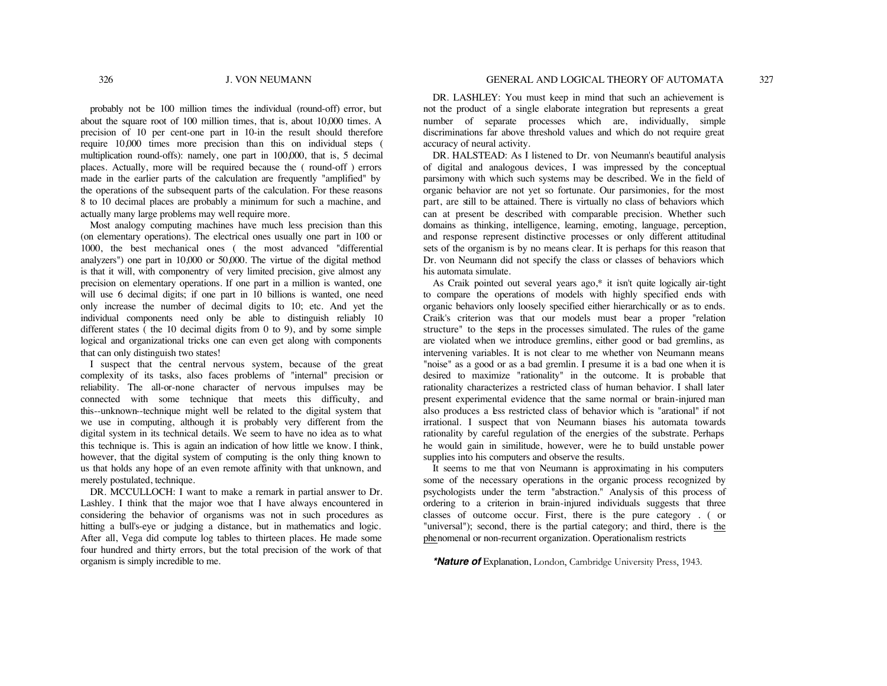probably not be 100 million times the individual (round-off) error, but about the square root of 100 million times, that is, about 10,000 times. A precision of 10 per cent-one part in 10-in the result should therefore require 10,000 times more precision than this on individual steps ( multiplication round-offs): namely, one part in 100,000, that is, 5 decimal places. Actually, more will be required because the ( round-off ) errors made in the earlier parts of the calculation are frequently "amplified" by the operations of the subsequent parts of the calculation. For these reasons 8 to 10 decimal places are probably a minimum for such a machine, and actually many large problems may well require more.

Most analogy computing machines have much less precision than this (on elementary operations). The electrical ones usually one part in 100 or 1000, the best mechanical ones ( the most advanced "differential analyzers") one part in 10,000 or 50,000. The virtue of the digital method is that it will, with componentry of very limited precision, give almost any precision on elementary operations. If one part in a million is wanted, one will use 6 decimal digits; if one part in 10 billions is wanted, one need only increase the number of decimal digits to 10; etc. And yet the individual components need only be able to distinguish reliably 10 different states ( the 10 decimal digits from 0 to 9), and by some simple logical and organizational tricks one can even get along with components that can only distinguish two states!

I suspect that the central nervous system, because of the great complexity of its tasks, also faces problems of "internal" precision or reliability. The all-or-none character of nervous impulses may be connected with some technique that meets this difficulty, and this--unknown--technique might well be related to the digital system that we use in computing, although it is probably very different from the digital system in its technical details. We seem to have no idea as to what this technique is. This is again an indication of how little we know. I think, however, that the digital system of computing is the only thing known to us that holds any hope of an even remote affinity with that unknown, and merely postulated, technique.

DR. MCCULLOCH: I want to make a remark in partial answer to Dr. Lashley. I think that the major woe that I have always encountered in considering the behavior of organisms was not in such procedures as hitting a bull's-eye or judging a distance, but in mathematics and logic. After all, Vega did compute log tables to thirteen places. He made some four hundred and thirty errors, but the total precision of the work of that organism is simply incredible to me.

DR. LASHLEY: You must keep in mind that such an achievement is not the product of a single elaborate integration but represents a great number of separate processes which are, individually, simple discriminations far above threshold values and which do not require great accuracy of neural activity.

DR. HALSTEAD: As I listened to Dr. von Neumann's beautiful analysis of digital and analogous devices, I was impressed by the conceptual parsimony with which such systems may be described. We in the field of organic behavior are not yet so fortunate. Our parsimonies, for the most part, are still to be attained. There is virtually no class of behaviors which can at present be described with comparable precision. Whether such domains as thinking, intelligence, learning, emoting, language, perception, and response represent distinctive processes or only different attitudinal sets of the organism is by no means clear. It is perhaps for this reason that Dr. von Neumann did not specify the class or classes of behaviors which his automata simulate.

As Craik pointed out several years ago,\* it isn't quite logically air-tight to compare the operations of models with highly specified ends with organic behaviors only loosely specified either hierarchically or as to ends. Craik's criterion was that our models must bear a proper "relation structure" to the steps in the processes simulated. The rules of the game are violated when we introduce gremlins, either good or bad gremlins, as intervening variables. It is not clear to me whether von Neumann means "noise" as a good or as a bad gremlin. I presume it is a bad one when it is desired to maximize "rationality" in the outcome. It is probable that rationality characterizes a restricted class of human behavior. I shall later present experimental evidence that the same normal or brain-injured man also produces a less restricted class of behavior which is "arational" if not irrational. I suspect that von Neumann biases his automata towards rationality by careful regulation of the energies of the substrate. Perhaps he would gain in similitude, however, were he to build unstable power supplies into his computers and observe the results.

It seems to me that von Neumann is approximating in his computers some of the necessary operations in the organic process recognized by psychologists under the term "abstraction." Analysis of this process of ordering to a criterion in brain-injured individuals suggests that three classes of outcome occur. First, there is the pure category . ( or "universal"); second, there is the partial category; and third, there is the phenomenal or non-recurrent organization. Operationalism restricts

*\*Nature of* Explanation, London, Cambridge University Press, 1943.